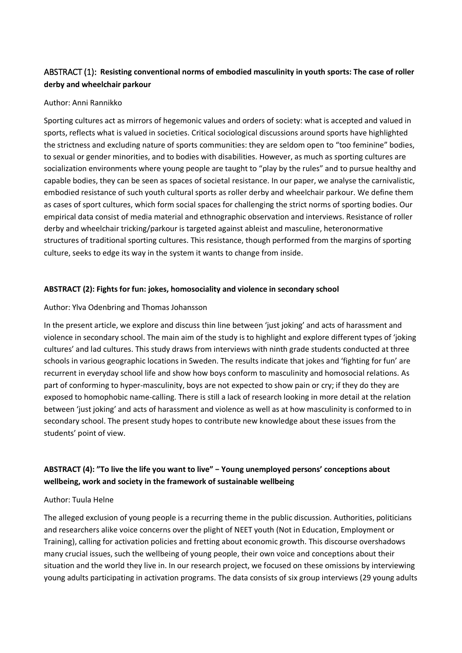# ABSTRACT (1): **Resisting conventional norms of embodied masculinity in youth sports: The case of roller derby and wheelchair parkour**

### Author: Anni Rannikko

Sporting cultures act as mirrors of hegemonic values and orders of society: what is accepted and valued in sports, reflects what is valued in societies. Critical sociological discussions around sports have highlighted the strictness and excluding nature of sports communities: they are seldom open to "too feminine" bodies, to sexual or gender minorities, and to bodies with disabilities. However, as much as sporting cultures are socialization environments where young people are taught to "play by the rules" and to pursue healthy and capable bodies, they can be seen as spaces of societal resistance. In our paper, we analyse the carnivalistic, embodied resistance of such youth cultural sports as roller derby and wheelchair parkour. We define them as cases of sport cultures, which form social spaces for challenging the strict norms of sporting bodies. Our empirical data consist of media material and ethnographic observation and interviews. Resistance of roller derby and wheelchair tricking/parkour is targeted against ableist and masculine, heteronormative structures of traditional sporting cultures. This resistance, though performed from the margins of sporting culture, seeks to edge its way in the system it wants to change from inside.

## **ABSTRACT (2): Fights for fun: jokes, homosociality and violence in secondary school**

## Author: Ylva Odenbring and Thomas Johansson

In the present article, we explore and discuss thin line between 'just joking' and acts of harassment and violence in secondary school. The main aim of the study is to highlight and explore different types of 'joking cultures' and lad cultures. This study draws from interviews with ninth grade students conducted at three schools in various geographic locations in Sweden. The results indicate that jokes and 'fighting for fun' are recurrent in everyday school life and show how boys conform to masculinity and homosocial relations. As part of conforming to hyper-masculinity, boys are not expected to show pain or cry; if they do they are exposed to homophobic name-calling. There is still a lack of research looking in more detail at the relation between 'just joking' and acts of harassment and violence as well as at how masculinity is conformed to in secondary school. The present study hopes to contribute new knowledge about these issues from the students' point of view.

# **ABSTRACT (4): "To live the life you want to live" − Young unemployed persons' conceptions about wellbeing, work and society in the framework of sustainable wellbeing**

### Author: Tuula Helne

The alleged exclusion of young people is a recurring theme in the public discussion. Authorities, politicians and researchers alike voice concerns over the plight of NEET youth (Not in Education, Employment or Training), calling for activation policies and fretting about economic growth. This discourse overshadows many crucial issues, such the wellbeing of young people, their own voice and conceptions about their situation and the world they live in. In our research project, we focused on these omissions by interviewing young adults participating in activation programs. The data consists of six group interviews (29 young adults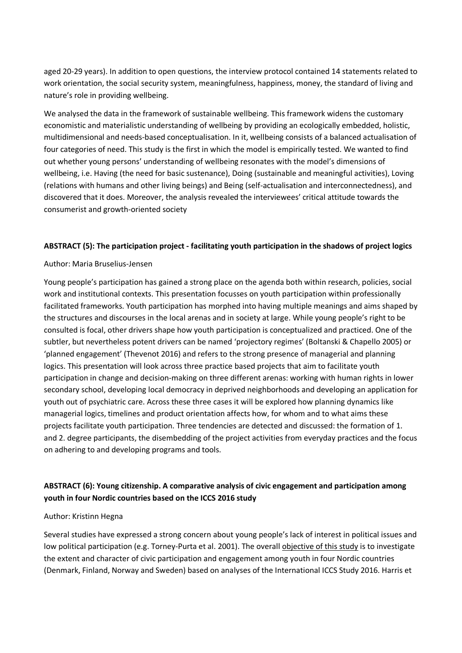aged 20-29 years). In addition to open questions, the interview protocol contained 14 statements related to work orientation, the social security system, meaningfulness, happiness, money, the standard of living and nature's role in providing wellbeing.

We analysed the data in the framework of sustainable wellbeing. This framework widens the customary economistic and materialistic understanding of wellbeing by providing an ecologically embedded, holistic, multidimensional and needs-based conceptualisation. In it, wellbeing consists of a balanced actualisation of four categories of need. This study is the first in which the model is empirically tested. We wanted to find out whether young persons' understanding of wellbeing resonates with the model's dimensions of wellbeing, i.e. Having (the need for basic sustenance), Doing (sustainable and meaningful activities), Loving (relations with humans and other living beings) and Being (self-actualisation and interconnectedness), and discovered that it does. Moreover, the analysis revealed the interviewees' critical attitude towards the consumerist and growth-oriented society

### **ABSTRACT (5): The participation project - facilitating youth participation in the shadows of project logics**

### Author: Maria Bruselius-Jensen

Young people's participation has gained a strong place on the agenda both within research, policies, social work and institutional contexts. This presentation focusses on youth participation within professionally facilitated frameworks. Youth participation has morphed into having multiple meanings and aims shaped by the structures and discourses in the local arenas and in society at large. While young people's right to be consulted is focal, other drivers shape how youth participation is conceptualized and practiced. One of the subtler, but nevertheless potent drivers can be named 'projectory regimes' (Boltanski & Chapello 2005) or 'planned engagement' (Thevenot 2016) and refers to the strong presence of managerial and planning logics. This presentation will look across three practice based projects that aim to facilitate youth participation in change and decision-making on three different arenas: working with human rights in lower secondary school, developing local democracy in deprived neighborhoods and developing an application for youth out of psychiatric care. Across these three cases it will be explored how planning dynamics like managerial logics, timelines and product orientation affects how, for whom and to what aims these projects facilitate youth participation. Three tendencies are detected and discussed: the formation of 1. and 2. degree participants, the disembedding of the project activities from everyday practices and the focus on adhering to and developing programs and tools.

# **ABSTRACT (6): Young citizenship. A comparative analysis of civic engagement and participation among youth in four Nordic countries based on the ICCS 2016 study**

### Author: Kristinn Hegna

Several studies have expressed a strong concern about young people's lack of interest in political issues and low political participation (e.g. Torney-Purta et al. 2001). The overall objective of this study is to investigate the extent and character of civic participation and engagement among youth in four Nordic countries (Denmark, Finland, Norway and Sweden) based on analyses of the International ICCS Study 2016. Harris et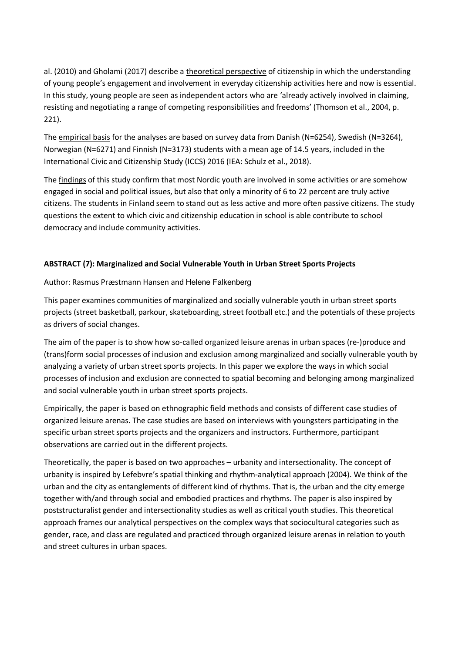al. (2010) and Gholami (2017) describe a theoretical perspective of citizenship in which the understanding of young people's engagement and involvement in everyday citizenship activities here and now is essential. In this study, young people are seen as independent actors who are 'already actively involved in claiming, resisting and negotiating a range of competing responsibilities and freedoms' (Thomson et al., 2004, p. 221).

The empirical basis for the analyses are based on survey data from Danish (N=6254), Swedish (N=3264), Norwegian (N=6271) and Finnish (N=3173) students with a mean age of 14.5 years, included in the International Civic and Citizenship Study (ICCS) 2016 (IEA: Schulz et al., 2018).

The findings of this study confirm that most Nordic youth are involved in some activities or are somehow engaged in social and political issues, but also that only a minority of 6 to 22 percent are truly active citizens. The students in Finland seem to stand out as less active and more often passive citizens. The study questions the extent to which civic and citizenship education in school is able contribute to school democracy and include community activities.

## **ABSTRACT (7): Marginalized and Social Vulnerable Youth in Urban Street Sports Projects**

## Author: Rasmus Præstmann Hansen and Helene Falkenberg

This paper examines communities of marginalized and socially vulnerable youth in urban street sports projects (street basketball, parkour, skateboarding, street football etc.) and the potentials of these projects as drivers of social changes.

The aim of the paper is to show how so-called organized leisure arenas in urban spaces (re-)produce and (trans)form social processes of inclusion and exclusion among marginalized and socially vulnerable youth by analyzing a variety of urban street sports projects. In this paper we explore the ways in which social processes of inclusion and exclusion are connected to spatial becoming and belonging among marginalized and social vulnerable youth in urban street sports projects.

Empirically, the paper is based on ethnographic field methods and consists of different case studies of organized leisure arenas. The case studies are based on interviews with youngsters participating in the specific urban street sports projects and the organizers and instructors. Furthermore, participant observations are carried out in the different projects.

Theoretically, the paper is based on two approaches – urbanity and intersectionality. The concept of urbanity is inspired by Lefebvre's spatial thinking and rhythm-analytical approach (2004). We think of the urban and the city as entanglements of different kind of rhythms. That is, the urban and the city emerge together with/and through social and embodied practices and rhythms. The paper is also inspired by poststructuralist gender and intersectionality studies as well as critical youth studies. This theoretical approach frames our analytical perspectives on the complex ways that sociocultural categories such as gender, race, and class are regulated and practiced through organized leisure arenas in relation to youth and street cultures in urban spaces.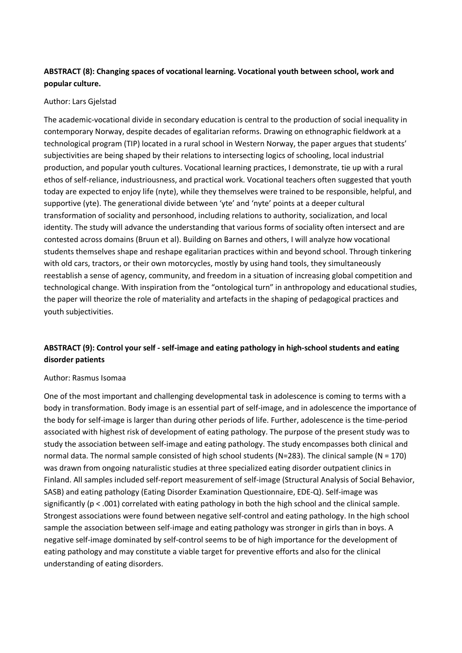# **ABSTRACT (8): Changing spaces of vocational learning. Vocational youth between school, work and popular culture.**

## Author: Lars Gjelstad

The academic-vocational divide in secondary education is central to the production of social inequality in contemporary Norway, despite decades of egalitarian reforms. Drawing on ethnographic fieldwork at a technological program (TIP) located in a rural school in Western Norway, the paper argues that students' subjectivities are being shaped by their relations to intersecting logics of schooling, local industrial production, and popular youth cultures. Vocational learning practices, I demonstrate, tie up with a rural ethos of self-reliance, industriousness, and practical work. Vocational teachers often suggested that youth today are expected to enjoy life (nyte), while they themselves were trained to be responsible, helpful, and supportive (yte). The generational divide between 'yte' and 'nyte' points at a deeper cultural transformation of sociality and personhood, including relations to authority, socialization, and local identity. The study will advance the understanding that various forms of sociality often intersect and are contested across domains (Bruun et al). Building on Barnes and others, I will analyze how vocational students themselves shape and reshape egalitarian practices within and beyond school. Through tinkering with old cars, tractors, or their own motorcycles, mostly by using hand tools, they simultaneously reestablish a sense of agency, community, and freedom in a situation of increasing global competition and technological change. With inspiration from the "ontological turn" in anthropology and educational studies, the paper will theorize the role of materiality and artefacts in the shaping of pedagogical practices and youth subjectivities.

# **ABSTRACT (9): Control your self - self-image and eating pathology in high-school students and eating disorder patients**

### Author: Rasmus Isomaa

One of the most important and challenging developmental task in adolescence is coming to terms with a body in transformation. Body image is an essential part of self-image, and in adolescence the importance of the body for self-image is larger than during other periods of life. Further, adolescence is the time-period associated with highest risk of development of eating pathology. The purpose of the present study was to study the association between self-image and eating pathology. The study encompasses both clinical and normal data. The normal sample consisted of high school students (N=283). The clinical sample (N = 170) was drawn from ongoing naturalistic studies at three specialized eating disorder outpatient clinics in Finland. All samples included self-report measurement of self-image (Structural Analysis of Social Behavior, SASB) and eating pathology (Eating Disorder Examination Questionnaire, EDE-Q). Self-image was significantly (p < .001) correlated with eating pathology in both the high school and the clinical sample. Strongest associations were found between negative self-control and eating pathology. In the high school sample the association between self-image and eating pathology was stronger in girls than in boys. A negative self-image dominated by self-control seems to be of high importance for the development of eating pathology and may constitute a viable target for preventive efforts and also for the clinical understanding of eating disorders.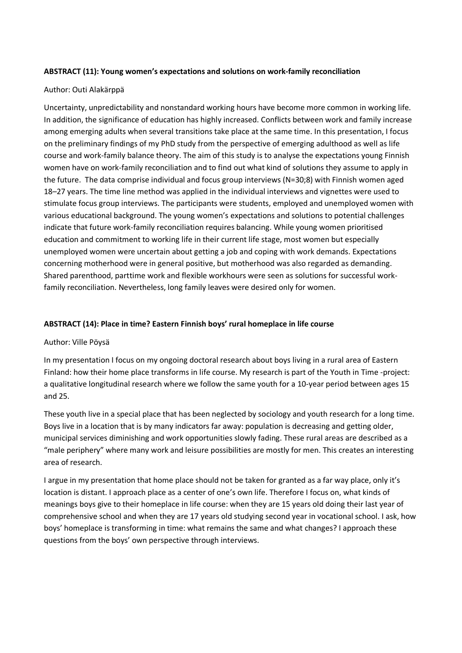## **ABSTRACT (11): Young women's expectations and solutions on work-family reconciliation**

## Author: Outi Alakärppä

Uncertainty, unpredictability and nonstandard working hours have become more common in working life. In addition, the significance of education has highly increased. Conflicts between work and family increase among emerging adults when several transitions take place at the same time. In this presentation, I focus on the preliminary findings of my PhD study from the perspective of emerging adulthood as well as life course and work-family balance theory. The aim of this study is to analyse the expectations young Finnish women have on work-family reconciliation and to find out what kind of solutions they assume to apply in the future. The data comprise individual and focus group interviews (N=30;8) with Finnish women aged 18–27 years. The time line method was applied in the individual interviews and vignettes were used to stimulate focus group interviews. The participants were students, employed and unemployed women with various educational background. The young women's expectations and solutions to potential challenges indicate that future work-family reconciliation requires balancing. While young women prioritised education and commitment to working life in their current life stage, most women but especially unemployed women were uncertain about getting a job and coping with work demands. Expectations concerning motherhood were in general positive, but motherhood was also regarded as demanding. Shared parenthood, parttime work and flexible workhours were seen as solutions for successful workfamily reconciliation. Nevertheless, long family leaves were desired only for women.

## **ABSTRACT (14): Place in time? Eastern Finnish boys' rural homeplace in life course**

### Author: Ville Pöysä

In my presentation I focus on my ongoing doctoral research about boys living in a rural area of Eastern Finland: how their home place transforms in life course. My research is part of the Youth in Time -project: a qualitative longitudinal research where we follow the same youth for a 10-year period between ages 15 and 25.

These youth live in a special place that has been neglected by sociology and youth research for a long time. Boys live in a location that is by many indicators far away: population is decreasing and getting older, municipal services diminishing and work opportunities slowly fading. These rural areas are described as a "male periphery" where many work and leisure possibilities are mostly for men. This creates an interesting area of research.

I argue in my presentation that home place should not be taken for granted as a far way place, only it's location is distant. I approach place as a center of one's own life. Therefore I focus on, what kinds of meanings boys give to their homeplace in life course: when they are 15 years old doing their last year of comprehensive school and when they are 17 years old studying second year in vocational school. I ask, how boys' homeplace is transforming in time: what remains the same and what changes? I approach these questions from the boys' own perspective through interviews.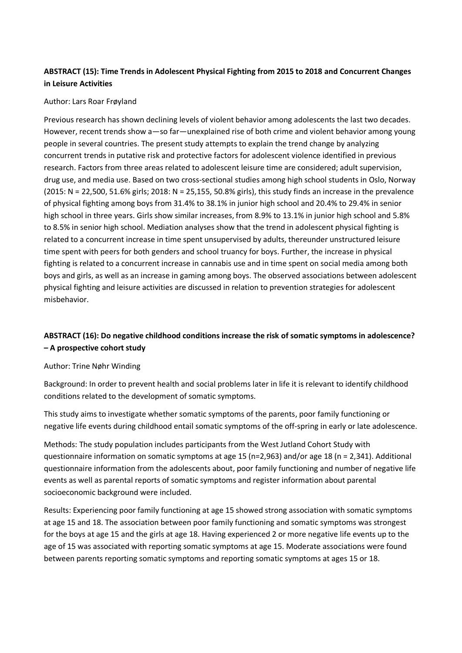# **ABSTRACT (15): Time Trends in Adolescent Physical Fighting from 2015 to 2018 and Concurrent Changes in Leisure Activities**

### Author: Lars Roar Frøyland

Previous research has shown declining levels of violent behavior among adolescents the last two decades. However, recent trends show a—so far—unexplained rise of both crime and violent behavior among young people in several countries. The present study attempts to explain the trend change by analyzing concurrent trends in putative risk and protective factors for adolescent violence identified in previous research. Factors from three areas related to adolescent leisure time are considered; adult supervision, drug use, and media use. Based on two cross-sectional studies among high school students in Oslo, Norway (2015: N = 22,500, 51.6% girls; 2018: N = 25,155, 50.8% girls), this study finds an increase in the prevalence of physical fighting among boys from 31.4% to 38.1% in junior high school and 20.4% to 29.4% in senior high school in three years. Girls show similar increases, from 8.9% to 13.1% in junior high school and 5.8% to 8.5% in senior high school. Mediation analyses show that the trend in adolescent physical fighting is related to a concurrent increase in time spent unsupervised by adults, thereunder unstructured leisure time spent with peers for both genders and school truancy for boys. Further, the increase in physical fighting is related to a concurrent increase in cannabis use and in time spent on social media among both boys and girls, as well as an increase in gaming among boys. The observed associations between adolescent physical fighting and leisure activities are discussed in relation to prevention strategies for adolescent misbehavior.

## **ABSTRACT (16): Do negative childhood conditions increase the risk of somatic symptoms in adolescence? – A prospective cohort study**

### Author: Trine Nøhr Winding

Background: In order to prevent health and social problems later in life it is relevant to identify childhood conditions related to the development of somatic symptoms.

This study aims to investigate whether somatic symptoms of the parents, poor family functioning or negative life events during childhood entail somatic symptoms of the off-spring in early or late adolescence.

Methods: The study population includes participants from the West Jutland Cohort Study with questionnaire information on somatic symptoms at age 15 (n=2,963) and/or age 18 (n = 2,341). Additional questionnaire information from the adolescents about, poor family functioning and number of negative life events as well as parental reports of somatic symptoms and register information about parental socioeconomic background were included.

Results: Experiencing poor family functioning at age 15 showed strong association with somatic symptoms at age 15 and 18. The association between poor family functioning and somatic symptoms was strongest for the boys at age 15 and the girls at age 18. Having experienced 2 or more negative life events up to the age of 15 was associated with reporting somatic symptoms at age 15. Moderate associations were found between parents reporting somatic symptoms and reporting somatic symptoms at ages 15 or 18.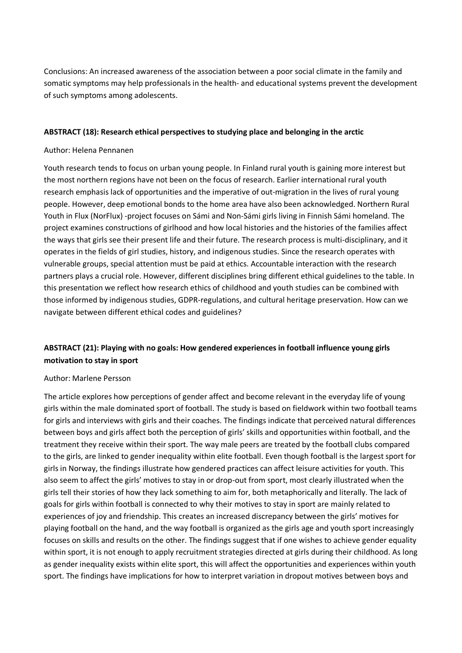Conclusions: An increased awareness of the association between a poor social climate in the family and somatic symptoms may help professionals in the health- and educational systems prevent the development of such symptoms among adolescents.

### **ABSTRACT (18): Research ethical perspectives to studying place and belonging in the arctic**

### Author: Helena Pennanen

Youth research tends to focus on urban young people. In Finland rural youth is gaining more interest but the most northern regions have not been on the focus of research. Earlier international rural youth research emphasis lack of opportunities and the imperative of out-migration in the lives of rural young people. However, deep emotional bonds to the home area have also been acknowledged. Northern Rural Youth in Flux (NorFlux) -project focuses on Sámi and Non-Sámi girls living in Finnish Sámi homeland. The project examines constructions of girlhood and how local histories and the histories of the families affect the ways that girls see their present life and their future. The research process is multi-disciplinary, and it operates in the fields of girl studies, history, and indigenous studies. Since the research operates with vulnerable groups, special attention must be paid at ethics. Accountable interaction with the research partners plays a crucial role. However, different disciplines bring different ethical guidelines to the table. In this presentation we reflect how research ethics of childhood and youth studies can be combined with those informed by indigenous studies, GDPR-regulations, and cultural heritage preservation. How can we navigate between different ethical codes and guidelines?

# **ABSTRACT (21): Playing with no goals: How gendered experiences in football influence young girls motivation to stay in sport**

### Author: Marlene Persson

The article explores how perceptions of gender affect and become relevant in the everyday life of young girls within the male dominated sport of football. The study is based on fieldwork within two football teams for girls and interviews with girls and their coaches. The findings indicate that perceived natural differences between boys and girls affect both the perception of girls' skills and opportunities within football, and the treatment they receive within their sport. The way male peers are treated by the football clubs compared to the girls, are linked to gender inequality within elite football. Even though football is the largest sport for girls in Norway, the findings illustrate how gendered practices can affect leisure activities for youth. This also seem to affect the girls' motives to stay in or drop-out from sport, most clearly illustrated when the girls tell their stories of how they lack something to aim for, both metaphorically and literally. The lack of goals for girls within football is connected to why their motives to stay in sport are mainly related to experiences of joy and friendship. This creates an increased discrepancy between the girls' motives for playing football on the hand, and the way football is organized as the girls age and youth sport increasingly focuses on skills and results on the other. The findings suggest that if one wishes to achieve gender equality within sport, it is not enough to apply recruitment strategies directed at girls during their childhood. As long as gender inequality exists within elite sport, this will affect the opportunities and experiences within youth sport. The findings have implications for how to interpret variation in dropout motives between boys and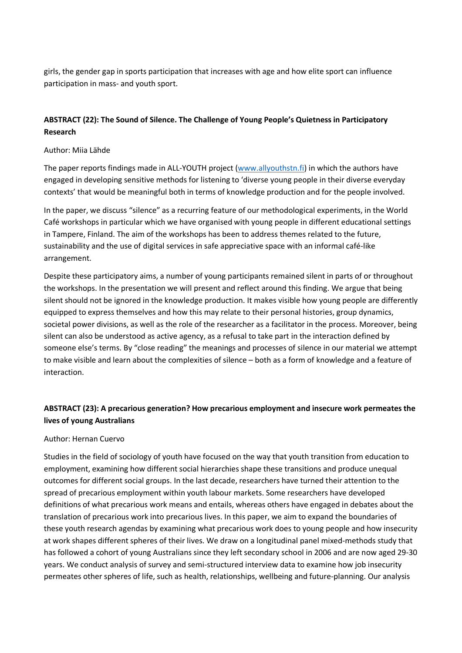girls, the gender gap in sports participation that increases with age and how elite sport can influence participation in mass- and youth sport.

## **ABSTRACT (22): The Sound of Silence. The Challenge of Young People's Quietness in Participatory Research**

### Author: Miia Lähde

The paper reports findings made in ALL-YOUTH project [\(www.allyouthstn.fi\)](http://www.allyouthstn.fi/) in which the authors have engaged in developing sensitive methods for listening to 'diverse young people in their diverse everyday contexts' that would be meaningful both in terms of knowledge production and for the people involved.

In the paper, we discuss "silence" as a recurring feature of our methodological experiments, in the World Café workshops in particular which we have organised with young people in different educational settings in Tampere, Finland. The aim of the workshops has been to address themes related to the future, sustainability and the use of digital services in safe appreciative space with an informal café-like arrangement.

Despite these participatory aims, a number of young participants remained silent in parts of or throughout the workshops. In the presentation we will present and reflect around this finding. We argue that being silent should not be ignored in the knowledge production. It makes visible how young people are differently equipped to express themselves and how this may relate to their personal histories, group dynamics, societal power divisions, as well as the role of the researcher as a facilitator in the process. Moreover, being silent can also be understood as active agency, as a refusal to take part in the interaction defined by someone else's terms. By "close reading" the meanings and processes of silence in our material we attempt to make visible and learn about the complexities of silence – both as a form of knowledge and a feature of interaction.

# **ABSTRACT (23): A precarious generation? How precarious employment and insecure work permeates the lives of young Australians**

## Author: Hernan Cuervo

Studies in the field of sociology of youth have focused on the way that youth transition from education to employment, examining how different social hierarchies shape these transitions and produce unequal outcomes for different social groups. In the last decade, researchers have turned their attention to the spread of precarious employment within youth labour markets. Some researchers have developed definitions of what precarious work means and entails, whereas others have engaged in debates about the translation of precarious work into precarious lives. In this paper, we aim to expand the boundaries of these youth research agendas by examining what precarious work does to young people and how insecurity at work shapes different spheres of their lives. We draw on a longitudinal panel mixed-methods study that has followed a cohort of young Australians since they left secondary school in 2006 and are now aged 29-30 years. We conduct analysis of survey and semi-structured interview data to examine how job insecurity permeates other spheres of life, such as health, relationships, wellbeing and future-planning. Our analysis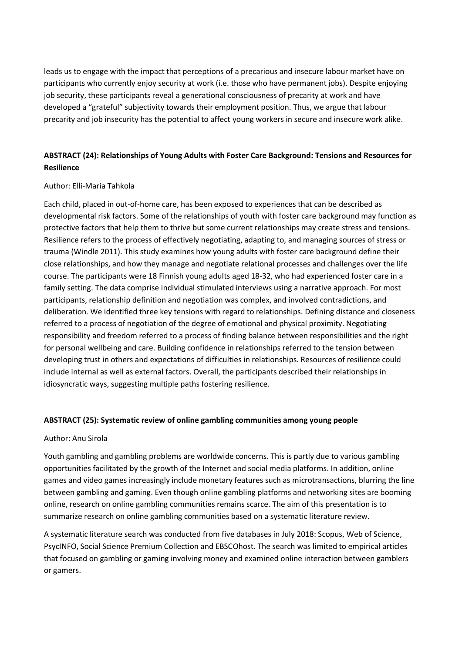leads us to engage with the impact that perceptions of a precarious and insecure labour market have on participants who currently enjoy security at work (i.e. those who have permanent jobs). Despite enjoying job security, these participants reveal a generational consciousness of precarity at work and have developed a "grateful" subjectivity towards their employment position. Thus, we argue that labour precarity and job insecurity has the potential to affect young workers in secure and insecure work alike.

# **ABSTRACT (24): Relationships of Young Adults with Foster Care Background: Tensions and Resources for Resilience**

## Author: Elli-Maria Tahkola

Each child, placed in out-of-home care, has been exposed to experiences that can be described as developmental risk factors. Some of the relationships of youth with foster care background may function as protective factors that help them to thrive but some current relationships may create stress and tensions. Resilience refers to the process of effectively negotiating, adapting to, and managing sources of stress or trauma (Windle 2011). This study examines how young adults with foster care background define their close relationships, and how they manage and negotiate relational processes and challenges over the life course. The participants were 18 Finnish young adults aged 18-32, who had experienced foster care in a family setting. The data comprise individual stimulated interviews using a narrative approach. For most participants, relationship definition and negotiation was complex, and involved contradictions, and deliberation. We identified three key tensions with regard to relationships. Defining distance and closeness referred to a process of negotiation of the degree of emotional and physical proximity. Negotiating responsibility and freedom referred to a process of finding balance between responsibilities and the right for personal wellbeing and care. Building confidence in relationships referred to the tension between developing trust in others and expectations of difficulties in relationships. Resources of resilience could include internal as well as external factors. Overall, the participants described their relationships in idiosyncratic ways, suggesting multiple paths fostering resilience.

### **ABSTRACT (25): Systematic review of online gambling communities among young people**

### Author: Anu Sirola

Youth gambling and gambling problems are worldwide concerns. This is partly due to various gambling opportunities facilitated by the growth of the Internet and social media platforms. In addition, online games and video games increasingly include monetary features such as microtransactions, blurring the line between gambling and gaming. Even though online gambling platforms and networking sites are booming online, research on online gambling communities remains scarce. The aim of this presentation is to summarize research on online gambling communities based on a systematic literature review.

A systematic literature search was conducted from five databases in July 2018: Scopus, Web of Science, PsycINFO, Social Science Premium Collection and EBSCOhost. The search was limited to empirical articles that focused on gambling or gaming involving money and examined online interaction between gamblers or gamers.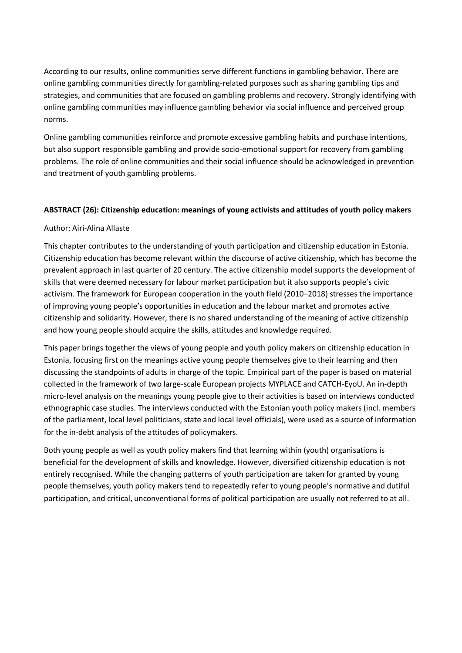According to our results, online communities serve different functions in gambling behavior. There are online gambling communities directly for gambling-related purposes such as sharing gambling tips and strategies, and communities that are focused on gambling problems and recovery. Strongly identifying with online gambling communities may influence gambling behavior via social influence and perceived group norms.

Online gambling communities reinforce and promote excessive gambling habits and purchase intentions, but also support responsible gambling and provide socio-emotional support for recovery from gambling problems. The role of online communities and their social influence should be acknowledged in prevention and treatment of youth gambling problems.

## **ABSTRACT (26): Citizenship education: meanings of young activists and attitudes of youth policy makers**

### Author: Airi-Alina Allaste

This chapter contributes to the understanding of youth participation and citizenship education in Estonia. Citizenship education has become relevant within the discourse of active citizenship, which has become the prevalent approach in last quarter of 20 century. The active citizenship model supports the development of skills that were deemed necessary for labour market participation but it also supports people's civic activism. The framework for European cooperation in the youth field (2010–2018) stresses the importance of improving young people's opportunities in education and the labour market and promotes active citizenship and solidarity. However, there is no shared understanding of the meaning of active citizenship and how young people should acquire the skills, attitudes and knowledge required.

This paper brings together the views of young people and youth policy makers on citizenship education in Estonia, focusing first on the meanings active young people themselves give to their learning and then discussing the standpoints of adults in charge of the topic. Empirical part of the paper is based on material collected in the framework of two large-scale European projects MYPLACE and CATCH-EyoU. An in-depth micro-level analysis on the meanings young people give to their activities is based on interviews conducted ethnographic case studies. The interviews conducted with the Estonian youth policy makers (incl. members of the parliament, local level politicians, state and local level officials), were used as a source of information for the in-debt analysis of the attitudes of policymakers.

Both young people as well as youth policy makers find that learning within (youth) organisations is beneficial for the development of skills and knowledge. However, diversified citizenship education is not entirely recognised. While the changing patterns of youth participation are taken for granted by young people themselves, youth policy makers tend to repeatedly refer to young people's normative and dutiful participation, and critical, unconventional forms of political participation are usually not referred to at all.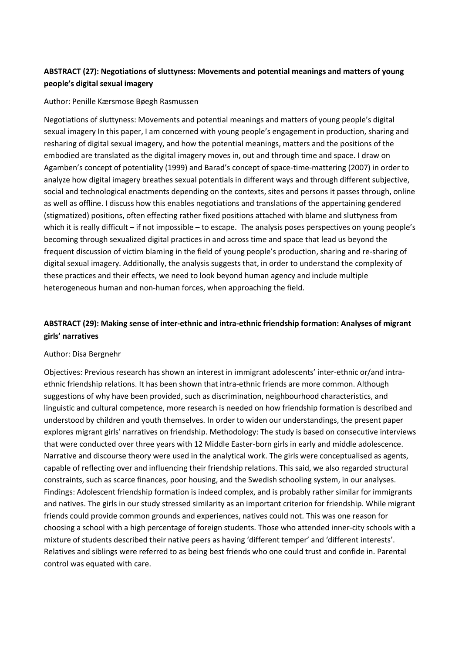# **ABSTRACT (27): Negotiations of sluttyness: Movements and potential meanings and matters of young people's digital sexual imagery**

#### Author: Penille Kærsmose Bøegh Rasmussen

Negotiations of sluttyness: Movements and potential meanings and matters of young people's digital sexual imagery In this paper, I am concerned with young people's engagement in production, sharing and resharing of digital sexual imagery, and how the potential meanings, matters and the positions of the embodied are translated as the digital imagery moves in, out and through time and space. I draw on Agamben's concept of potentiality (1999) and Barad's concept of space-time-mattering (2007) in order to analyze how digital imagery breathes sexual potentials in different ways and through different subjective, social and technological enactments depending on the contexts, sites and persons it passes through, online as well as offline. I discuss how this enables negotiations and translations of the appertaining gendered (stigmatized) positions, often effecting rather fixed positions attached with blame and sluttyness from which it is really difficult – if not impossible – to escape. The analysis poses perspectives on young people's becoming through sexualized digital practices in and across time and space that lead us beyond the frequent discussion of victim blaming in the field of young people's production, sharing and re-sharing of digital sexual imagery. Additionally, the analysis suggests that, in order to understand the complexity of these practices and their effects, we need to look beyond human agency and include multiple heterogeneous human and non-human forces, when approaching the field.

# **ABSTRACT (29): Making sense of inter-ethnic and intra-ethnic friendship formation: Analyses of migrant girls' narratives**

#### Author: Disa Bergnehr

Objectives: Previous research has shown an interest in immigrant adolescents' inter-ethnic or/and intraethnic friendship relations. It has been shown that intra-ethnic friends are more common. Although suggestions of why have been provided, such as discrimination, neighbourhood characteristics, and linguistic and cultural competence, more research is needed on how friendship formation is described and understood by children and youth themselves. In order to widen our understandings, the present paper explores migrant girls' narratives on friendship. Methodology: The study is based on consecutive interviews that were conducted over three years with 12 Middle Easter-born girls in early and middle adolescence. Narrative and discourse theory were used in the analytical work. The girls were conceptualised as agents, capable of reflecting over and influencing their friendship relations. This said, we also regarded structural constraints, such as scarce finances, poor housing, and the Swedish schooling system, in our analyses. Findings: Adolescent friendship formation is indeed complex, and is probably rather similar for immigrants and natives. The girls in our study stressed similarity as an important criterion for friendship. While migrant friends could provide common grounds and experiences, natives could not. This was one reason for choosing a school with a high percentage of foreign students. Those who attended inner-city schools with a mixture of students described their native peers as having 'different temper' and 'different interests'. Relatives and siblings were referred to as being best friends who one could trust and confide in. Parental control was equated with care.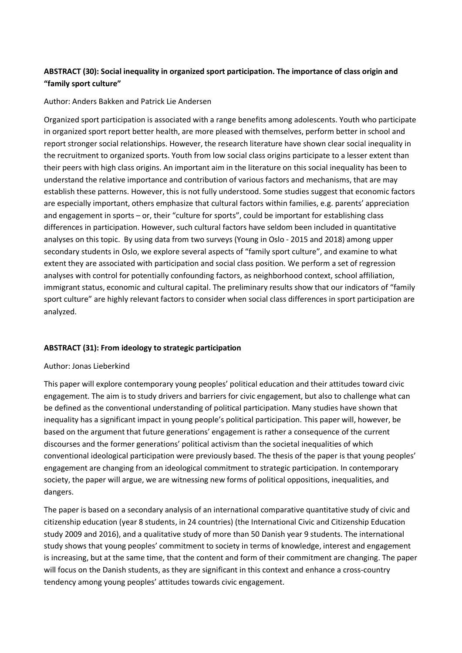# **ABSTRACT (30): Social inequality in organized sport participation. The importance of class origin and "family sport culture"**

### Author: Anders Bakken and Patrick Lie Andersen

Organized sport participation is associated with a range benefits among adolescents. Youth who participate in organized sport report better health, are more pleased with themselves, perform better in school and report stronger social relationships. However, the research literature have shown clear social inequality in the recruitment to organized sports. Youth from low social class origins participate to a lesser extent than their peers with high class origins. An important aim in the literature on this social inequality has been to understand the relative importance and contribution of various factors and mechanisms, that are may establish these patterns. However, this is not fully understood. Some studies suggest that economic factors are especially important, others emphasize that cultural factors within families, e.g. parents' appreciation and engagement in sports – or, their "culture for sports", could be important for establishing class differences in participation. However, such cultural factors have seldom been included in quantitative analyses on this topic. By using data from two surveys (Young in Oslo - 2015 and 2018) among upper secondary students in Oslo, we explore several aspects of "family sport culture", and examine to what extent they are associated with participation and social class position. We perform a set of regression analyses with control for potentially confounding factors, as neighborhood context, school affiliation, immigrant status, economic and cultural capital. The preliminary results show that our indicators of "family sport culture" are highly relevant factors to consider when social class differences in sport participation are analyzed.

## **ABSTRACT (31): From ideology to strategic participation**

### Author: Jonas Lieberkind

This paper will explore contemporary young peoples' political education and their attitudes toward civic engagement. The aim is to study drivers and barriers for civic engagement, but also to challenge what can be defined as the conventional understanding of political participation. Many studies have shown that inequality has a significant impact in young people's political participation. This paper will, however, be based on the argument that future generations' engagement is rather a consequence of the current discourses and the former generations' political activism than the societal inequalities of which conventional ideological participation were previously based. The thesis of the paper is that young peoples' engagement are changing from an ideological commitment to strategic participation. In contemporary society, the paper will argue, we are witnessing new forms of political oppositions, inequalities, and dangers.

The paper is based on a secondary analysis of an international comparative quantitative study of civic and citizenship education (year 8 students, in 24 countries) (the International Civic and Citizenship Education study 2009 and 2016), and a qualitative study of more than 50 Danish year 9 students. The international study shows that young peoples' commitment to society in terms of knowledge, interest and engagement is increasing, but at the same time, that the content and form of their commitment are changing. The paper will focus on the Danish students, as they are significant in this context and enhance a cross-country tendency among young peoples' attitudes towards civic engagement.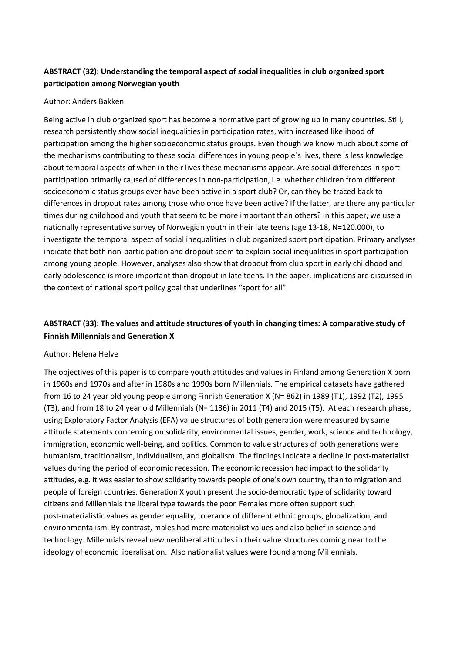# **ABSTRACT (32): Understanding the temporal aspect of social inequalities in club organized sport participation among Norwegian youth**

#### Author: Anders Bakken

Being active in club organized sport has become a normative part of growing up in many countries. Still, research persistently show social inequalities in participation rates, with increased likelihood of participation among the higher socioeconomic status groups. Even though we know much about some of the mechanisms contributing to these social differences in young people´s lives, there is less knowledge about temporal aspects of when in their lives these mechanisms appear. Are social differences in sport participation primarily caused of differences in non-participation, i.e. whether children from different socioeconomic status groups ever have been active in a sport club? Or, can they be traced back to differences in dropout rates among those who once have been active? If the latter, are there any particular times during childhood and youth that seem to be more important than others? In this paper, we use a nationally representative survey of Norwegian youth in their late teens (age 13-18, N=120.000), to investigate the temporal aspect of social inequalities in club organized sport participation. Primary analyses indicate that both non-participation and dropout seem to explain social inequalities in sport participation among young people. However, analyses also show that dropout from club sport in early childhood and early adolescence is more important than dropout in late teens. In the paper, implications are discussed in the context of national sport policy goal that underlines "sport for all".

# **ABSTRACT (33): The values and attitude structures of youth in changing times: A comparative study of Finnish Millennials and Generation X**

#### Author: Helena Helve

The objectives of this paper is to compare youth attitudes and values in Finland among Generation X born in 1960s and 1970s and after in 1980s and 1990s born Millennials. The empirical datasets have gathered from 16 to 24 year old young people among Finnish Generation X (N= 862) in 1989 (T1), 1992 (T2), 1995 (T3), and from 18 to 24 year old Millennials (N= 1136) in 2011 (T4) and 2015 (T5). At each research phase, usin[g Exploratory Factor Analysis](https://en.wikipedia.org/wiki/Exploratory_factor_analysis) (EFA) value structures of both generation were measured by same attitude statements concerning on solidarity, environmental issues, gender, work, science and technology, immigration, economic well-being, and politics. Common to value structures of both generations were humanism, traditionalism, individualism, and globalism. The findings indicate a decline in post-materialist values during the period of economic recession. The economic recession had impact to the solidarity attitudes, e.g. it was easier to show solidarity towards people of one's own country, than to migration and people of foreign countries. Generation X youth present the socio-democratic type of solidarity toward citizens and Millennials the liberal type towards the poor. Females more often support such post-materialistic values as gender equality, tolerance of different ethnic groups, globalization, and environmentalism. By contrast, males had more materialist values and also belief in science and technology. Millennials reveal new neoliberal attitudes in their value structures coming near to the ideology of economic liberalisation. Also nationalist values were found among Millennials.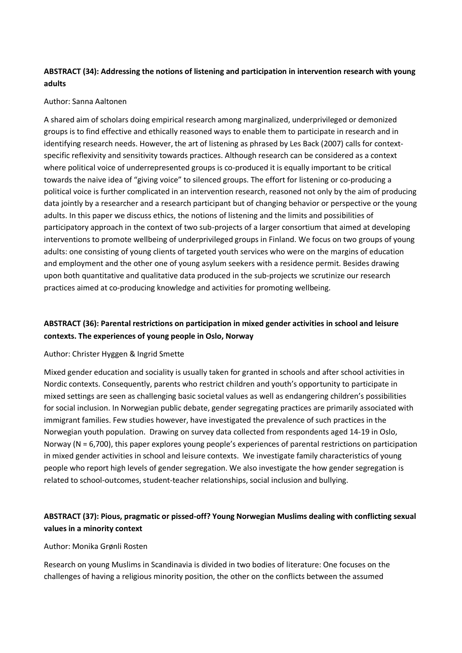# **ABSTRACT (34): Addressing the notions of listening and participation in intervention research with young adults**

## Author: Sanna Aaltonen

A shared aim of scholars doing empirical research among marginalized, underprivileged or demonized groups is to find effective and ethically reasoned ways to enable them to participate in research and in identifying research needs. However, the art of listening as phrased by Les Back (2007) calls for contextspecific reflexivity and sensitivity towards practices. Although research can be considered as a context where political voice of underrepresented groups is co-produced it is equally important to be critical towards the naive idea of "giving voice" to silenced groups. The effort for listening or co-producing a political voice is further complicated in an intervention research, reasoned not only by the aim of producing data jointly by a researcher and a research participant but of changing behavior or perspective or the young adults. In this paper we discuss ethics, the notions of listening and the limits and possibilities of participatory approach in the context of two sub-projects of a larger consortium that aimed at developing interventions to promote wellbeing of underprivileged groups in Finland. We focus on two groups of young adults: one consisting of young clients of targeted youth services who were on the margins of education and employment and the other one of young asylum seekers with a residence permit. Besides drawing upon both quantitative and qualitative data produced in the sub-projects we scrutinize our research practices aimed at co-producing knowledge and activities for promoting wellbeing.

# **ABSTRACT (36): Parental restrictions on participation in mixed gender activities in school and leisure contexts. The experiences of young people in Oslo, Norway**

### Author: Christer Hyggen & Ingrid Smette

Mixed gender education and sociality is usually taken for granted in schools and after school activities in Nordic contexts. Consequently, parents who restrict children and youth's opportunity to participate in mixed settings are seen as challenging basic societal values as well as endangering children's possibilities for social inclusion. In Norwegian public debate, gender segregating practices are primarily associated with immigrant families. Few studies however, have investigated the prevalence of such practices in the Norwegian youth population. Drawing on survey data collected from respondents aged 14-19 in Oslo, Norway (N = 6,700), this paper explores young people's experiences of parental restrictions on participation in mixed gender activities in school and leisure contexts. We investigate family characteristics of young people who report high levels of gender segregation. We also investigate the how gender segregation is related to school-outcomes, student-teacher relationships, social inclusion and bullying.

# **ABSTRACT (37): Pious, pragmatic or pissed-off? Young Norwegian Muslims dealing with conflicting sexual values in a minority context**

### Author: Monika Grønli Rosten

Research on young Muslims in Scandinavia is divided in two bodies of literature: One focuses on the challenges of having a religious minority position, the other on the conflicts between the assumed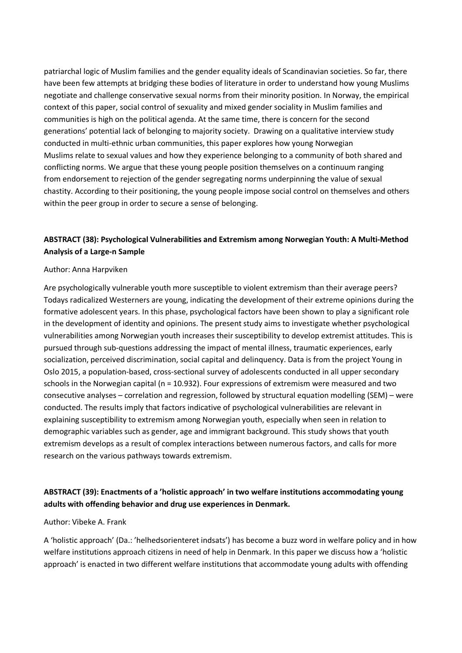patriarchal logic of Muslim families and the gender equality ideals of Scandinavian societies. So far, there have been few attempts at bridging these bodies of literature in order to understand how young Muslims negotiate and challenge conservative sexual norms from their minority position. In Norway, the empirical context of this paper, social control of sexuality and mixed gender sociality in Muslim families and communities is high on the political agenda. At the same time, there is concern for the second generations' potential lack of belonging to majority society. Drawing on a qualitative interview study conducted in multi-ethnic urban communities, this paper explores how young Norwegian Muslims relate to sexual values and how they experience belonging to a community of both shared and conflicting norms. We argue that these young people position themselves on a continuum ranging from endorsement to rejection of the gender segregating norms underpinning the value of sexual chastity. According to their positioning, the young people impose social control on themselves and others within the peer group in order to secure a sense of belonging.

# **ABSTRACT (38): Psychological Vulnerabilities and Extremism among Norwegian Youth: A Multi-Method Analysis of a Large-n Sample**

### Author: Anna Harpviken

Are psychologically vulnerable youth more susceptible to violent extremism than their average peers? Todays radicalized Westerners are young, indicating the development of their extreme opinions during the formative adolescent years. In this phase, psychological factors have been shown to play a significant role in the development of identity and opinions. The present study aims to investigate whether psychological vulnerabilities among Norwegian youth increases their susceptibility to develop extremist attitudes. This is pursued through sub-questions addressing the impact of mental illness, traumatic experiences, early socialization, perceived discrimination, social capital and delinquency. Data is from the project Young in Oslo 2015, a population-based, cross-sectional survey of adolescents conducted in all upper secondary schools in the Norwegian capital (n = 10.932). Four expressions of extremism were measured and two consecutive analyses – correlation and regression, followed by structural equation modelling (SEM) – were conducted. The results imply that factors indicative of psychological vulnerabilities are relevant in explaining susceptibility to extremism among Norwegian youth, especially when seen in relation to demographic variables such as gender, age and immigrant background. This study shows that youth extremism develops as a result of complex interactions between numerous factors, and calls for more research on the various pathways towards extremism.

## **ABSTRACT (39): Enactments of a 'holistic approach' in two welfare institutions accommodating young adults with offending behavior and drug use experiences in Denmark.**

#### Author: Vibeke A. Frank

A 'holistic approach' (Da.: 'helhedsorienteret indsats') has become a buzz word in welfare policy and in how welfare institutions approach citizens in need of help in Denmark. In this paper we discuss how a 'holistic approach' is enacted in two different welfare institutions that accommodate young adults with offending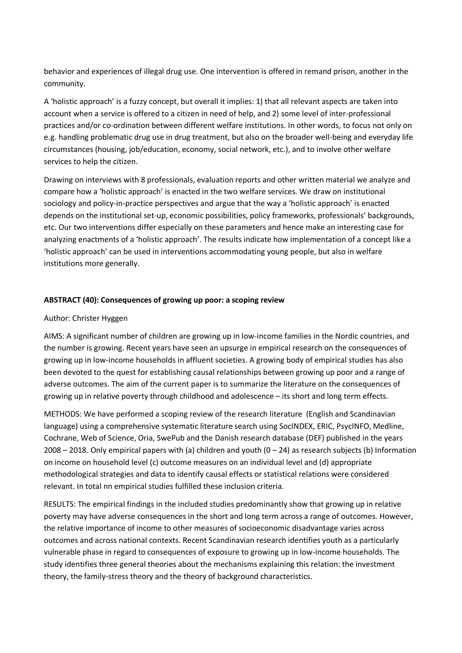behavior and experiences of illegal drug use. One intervention is offered in remand prison, another in the community.

A 'holistic approach' is a fuzzy concept, but overall it implies: 1) that all relevant aspects are taken into account when a service is offered to a citizen in need of help, and 2) some level of inter-professional practices and/or co-ordination between different welfare institutions. In other words, to focus not only on e.g. handling problematic drug use in drug treatment, but also on the broader well-being and everyday life circumstances (housing, job/education, economy, social network, etc.), and to involve other welfare services to help the citizen.

Drawing on interviews with 8 professionals, evaluation reports and other written material we analyze and compare how a 'holistic approach' is enacted in the two welfare services. We draw on institutional sociology and policy-in-practice perspectives and argue that the way a 'holistic approach' is enacted depends on the institutional set-up, economic possibilities, policy frameworks, professionals' backgrounds, etc. Our two interventions differ especially on these parameters and hence make an interesting case for analyzing enactments of a 'holistic approach'. The results indicate how implementation of a concept like a 'holistic approach' can be used in interventions accommodating young people, but also in welfare institutions more generally.

## **ABSTRACT (40): Consequences of growing up poor: a scoping review**

### Author: Christer Hyggen

AIMS: A significant number of children are growing up in low-income families in the Nordic countries, and the number is growing. Recent years have seen an upsurge in empirical research on the consequences of growing up in low-income households in affluent societies. A growing body of empirical studies has also been devoted to the quest for establishing causal relationships between growing up poor and a range of adverse outcomes. The aim of the current paper is to summarize the literature on the consequences of growing up in relative poverty through childhood and adolescence – its short and long term effects.

METHODS: We have performed a scoping review of the research literature (English and Scandinavian language) using a comprehensive systematic literature search using SocINDEX, ERIC, PsycINFO, Medline, Cochrane, Web of Science, Oria, SwePub and the Danish research database (DEF) published in the years 2008 – 2018. Only empirical papers with (a) children and youth (0 – 24) as research subjects (b) Information on income on household level (c) outcome measures on an individual level and (d) appropriate methodological strategies and data to identify causal effects or statistical relations were considered relevant. In total nn empirical studies fulfilled these inclusion criteria.

RESULTS: The empirical findings in the included studies predominantly show that growing up in relative poverty may have adverse consequences in the short and long term across a range of outcomes. However, the relative importance of income to other measures of socioeconomic disadvantage varies across outcomes and across national contexts. Recent Scandinavian research identifies youth as a particularly vulnerable phase in regard to consequences of exposure to growing up in low-income households. The study identifies three general theories about the mechanisms explaining this relation: the investment theory, the family-stress theory and the theory of background characteristics.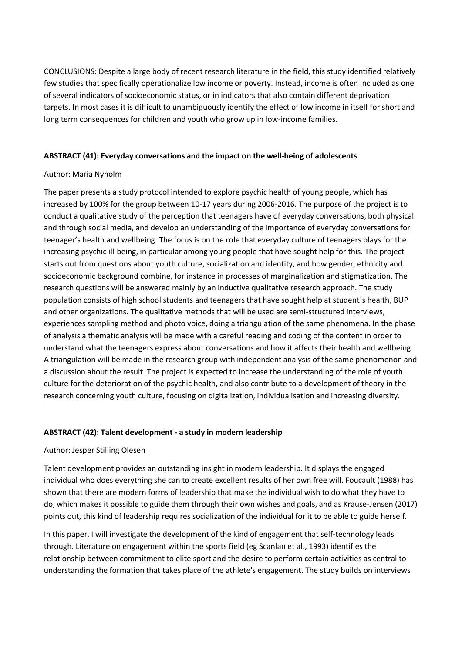CONCLUSIONS: Despite a large body of recent research literature in the field, this study identified relatively few studies that specifically operationalize low income or poverty. Instead, income is often included as one of several indicators of socioeconomic status, or in indicators that also contain different deprivation targets. In most cases it is difficult to unambiguously identify the effect of low income in itself for short and long term consequences for children and youth who grow up in low-income families.

### **ABSTRACT (41): Everyday conversations and the impact on the well-being of adolescents**

## Author: Maria Nyholm

The paper presents a study protocol intended to explore psychic health of young people, which has increased by 100% for the group between 10-17 years during 2006-2016. The purpose of the project is to conduct a qualitative study of the perception that teenagers have of everyday conversations, both physical and through social media, and develop an understanding of the importance of everyday conversations for teenager's health and wellbeing. The focus is on the role that everyday culture of teenagers plays for the increasing psychic ill-being, in particular among young people that have sought help for this. The project starts out from questions about youth culture, socialization and identity, and how gender, ethnicity and socioeconomic background combine, for instance in processes of marginalization and stigmatization. The research questions will be answered mainly by an inductive qualitative research approach. The study population consists of high school students and teenagers that have sought help at student´s health, BUP and other organizations. The qualitative methods that will be used are semi-structured interviews, experiences sampling method and photo voice, doing a triangulation of the same phenomena. In the phase of analysis a thematic analysis will be made with a careful reading and coding of the content in order to understand what the teenagers express about conversations and how it affects their health and wellbeing. A triangulation will be made in the research group with independent analysis of the same phenomenon and a discussion about the result. The project is expected to increase the understanding of the role of youth culture for the deterioration of the psychic health, and also contribute to a development of theory in the research concerning youth culture, focusing on digitalization, individualisation and increasing diversity.

### **ABSTRACT (42): Talent development - a study in modern leadership**

## Author: Jesper Stilling Olesen

Talent development provides an outstanding insight in modern leadership. It displays the engaged individual who does everything she can to create excellent results of her own free will. Foucault (1988) has shown that there are modern forms of leadership that make the individual wish to do what they have to do, which makes it possible to guide them through their own wishes and goals, and as Krause-Jensen (2017) points out, this kind of leadership requires socialization of the individual for it to be able to guide herself.

In this paper, I will investigate the development of the kind of engagement that self-technology leads through. Literature on engagement within the sports field (eg Scanlan et al., 1993) identifies the relationship between commitment to elite sport and the desire to perform certain activities as central to understanding the formation that takes place of the athlete's engagement. The study builds on interviews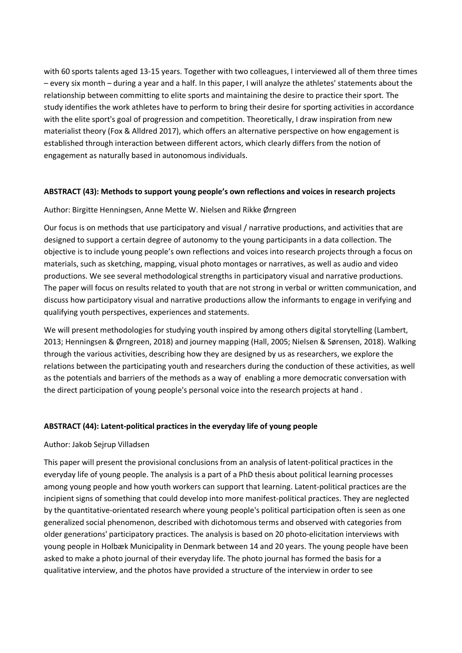with 60 sports talents aged 13-15 years. Together with two colleagues, I interviewed all of them three times – every six month – during a year and a half. In this paper, I will analyze the athletes' statements about the relationship between committing to elite sports and maintaining the desire to practice their sport. The study identifies the work athletes have to perform to bring their desire for sporting activities in accordance with the elite sport's goal of progression and competition. Theoretically, I draw inspiration from new materialist theory (Fox & Alldred 2017), which offers an alternative perspective on how engagement is established through interaction between different actors, which clearly differs from the notion of engagement as naturally based in autonomous individuals.

### **ABSTRACT (43): Methods to support young people's own reflections and voices in research projects**

## Author: Birgitte Henningsen, Anne Mette W. Nielsen and Rikke Ørngreen

Our focus is on methods that use participatory and visual / narrative productions, and activities that are designed to support a certain degree of autonomy to the young participants in a data collection. The objective is to include young people's own reflections and voices into research projects through a focus on materials, such as sketching, mapping, visual photo montages or narratives, as well as audio and video productions. We see several methodological strengths in participatory visual and narrative productions. The paper will focus on results related to youth that are not strong in verbal or written communication, and discuss how participatory visual and narrative productions allow the informants to engage in verifying and qualifying youth perspectives, experiences and statements.

We will present methodologies for studying youth inspired by among others digital storytelling (Lambert, 2013; Henningsen & Ørngreen, 2018) and journey mapping (Hall, 2005; Nielsen & Sørensen, 2018). Walking through the various activities, describing how they are designed by us as researchers, we explore the relations between the participating youth and researchers during the conduction of these activities, as well as the potentials and barriers of the methods as a way of enabling a more democratic conversation with the direct participation of young people's personal voice into the research projects at hand .

## **ABSTRACT (44): Latent-political practices in the everyday life of young people**

### Author: Jakob Sejrup Villadsen

This paper will present the provisional conclusions from an analysis of latent-political practices in the everyday life of young people. The analysis is a part of a PhD thesis about political learning processes among young people and how youth workers can support that learning. Latent-political practices are the incipient signs of something that could develop into more manifest-political practices. They are neglected by the quantitative-orientated research where young people's political participation often is seen as one generalized social phenomenon, described with dichotomous terms and observed with categories from older generations' participatory practices. The analysis is based on 20 photo-elicitation interviews with young people in Holbæk Municipality in Denmark between 14 and 20 years. The young people have been asked to make a photo journal of their everyday life. The photo journal has formed the basis for a qualitative interview, and the photos have provided a structure of the interview in order to see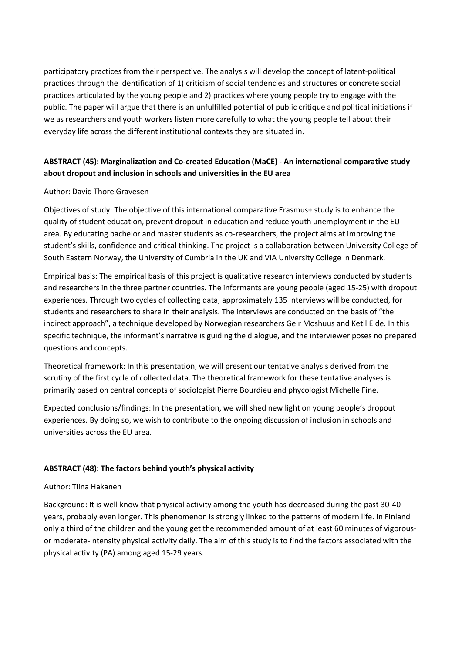participatory practices from their perspective. The analysis will develop the concept of latent-political practices through the identification of 1) criticism of social tendencies and structures or concrete social practices articulated by the young people and 2) practices where young people try to engage with the public. The paper will argue that there is an unfulfilled potential of public critique and political initiations if we as researchers and youth workers listen more carefully to what the young people tell about their everyday life across the different institutional contexts they are situated in.

# **ABSTRACT (45): Marginalization and Co-created Education (MaCE) - An international comparative study about dropout and inclusion in schools and universities in the EU area**

## Author: David Thore Gravesen

Objectives of study: The objective of this international comparative Erasmus+ study is to enhance the quality of student education, prevent dropout in education and reduce youth unemployment in the EU area. By educating bachelor and master students as co-researchers, the project aims at improving the student's skills, confidence and critical thinking. The project is a collaboration between University College of South Eastern Norway, the University of Cumbria in the UK and VIA University College in Denmark.

Empirical basis: The empirical basis of this project is qualitative research interviews conducted by students and researchers in the three partner countries. The informants are young people (aged 15-25) with dropout experiences. Through two cycles of collecting data, approximately 135 interviews will be conducted, for students and researchers to share in their analysis. The interviews are conducted on the basis of "the indirect approach", a technique developed by Norwegian researchers Geir Moshuus and Ketil Eide. In this specific technique, the informant's narrative is guiding the dialogue, and the interviewer poses no prepared questions and concepts.

Theoretical framework: In this presentation, we will present our tentative analysis derived from the scrutiny of the first cycle of collected data. The theoretical framework for these tentative analyses is primarily based on central concepts of sociologist Pierre Bourdieu and phycologist Michelle Fine.

Expected conclusions/findings: In the presentation, we will shed new light on young people's dropout experiences. By doing so, we wish to contribute to the ongoing discussion of inclusion in schools and universities across the EU area.

## **ABSTRACT (48): The factors behind youth's physical activity**

## Author: Tiina Hakanen

Background: It is well know that physical activity among the youth has decreased during the past 30-40 years, probably even longer. This phenomenon is strongly linked to the patterns of modern life. In Finland only a third of the children and the young get the recommended amount of at least 60 minutes of vigorousor moderate-intensity physical activity daily. The aim of this study is to find the factors associated with the physical activity (PA) among aged 15-29 years.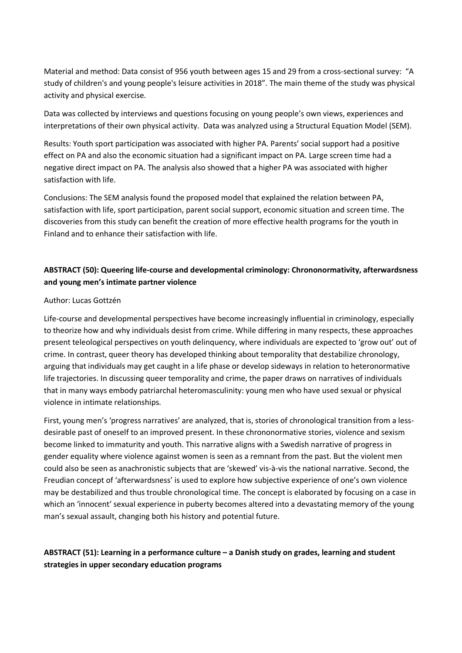Material and method: Data consist of 956 youth between ages 15 and 29 from a cross-sectional survey: "A study of children's and young people's leisure activities in 2018". The main theme of the study was physical activity and physical exercise.

Data was collected by interviews and questions focusing on young people's own views, experiences and interpretations of their own physical activity. Data was analyzed using a Structural Equation Model (SEM).

Results: Youth sport participation was associated with higher PA. Parents' social support had a positive effect on PA and also the economic situation had a significant impact on PA. Large screen time had a negative direct impact on PA. The analysis also showed that a higher PA was associated with higher satisfaction with life.

Conclusions: The SEM analysis found the proposed model that explained the relation between PA, satisfaction with life, sport participation, parent social support, economic situation and screen time. The discoveries from this study can benefit the creation of more effective health programs for the youth in Finland and to enhance their satisfaction with life.

## **ABSTRACT (50): Queering life-course and developmental criminology: Chrononormativity, afterwardsness and young men's intimate partner violence**

### Author: Lucas Gottzén

Life-course and developmental perspectives have become increasingly influential in criminology, especially to theorize how and why individuals desist from crime. While differing in many respects, these approaches present teleological perspectives on youth delinquency, where individuals are expected to 'grow out' out of crime. In contrast, queer theory has developed thinking about temporality that destabilize chronology, arguing that individuals may get caught in a life phase or develop sideways in relation to heteronormative life trajectories. In discussing queer temporality and crime, the paper draws on narratives of individuals that in many ways embody patriarchal heteromasculinity: young men who have used sexual or physical violence in intimate relationships.

First, young men's 'progress narratives' are analyzed, that is, stories of chronological transition from a lessdesirable past of oneself to an improved present. In these chrononormative stories, violence and sexism become linked to immaturity and youth. This narrative aligns with a Swedish narrative of progress in gender equality where violence against women is seen as a remnant from the past. But the violent men could also be seen as anachronistic subjects that are 'skewed' vis-à-vis the national narrative. Second, the Freudian concept of 'afterwardsness' is used to explore how subjective experience of one's own violence may be destabilized and thus trouble chronological time. The concept is elaborated by focusing on a case in which an 'innocent' sexual experience in puberty becomes altered into a devastating memory of the young man's sexual assault, changing both his history and potential future.

# **ABSTRACT (51): Learning in a performance culture – a Danish study on grades, learning and student strategies in upper secondary education programs**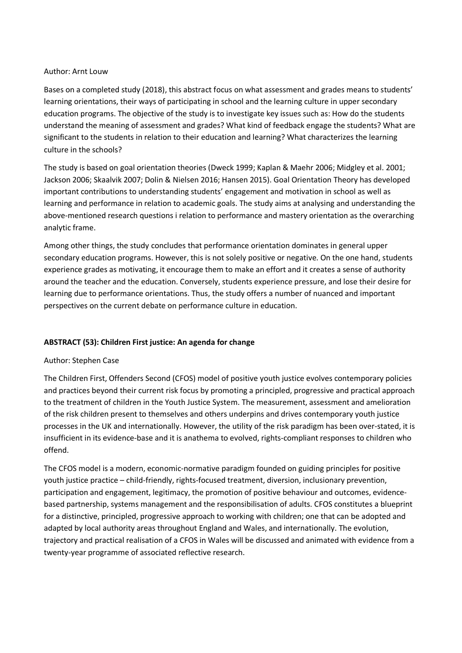### Author: Arnt Louw

Bases on a completed study (2018), this abstract focus on what assessment and grades means to students' learning orientations, their ways of participating in school and the learning culture in upper secondary education programs. The objective of the study is to investigate key issues such as: How do the students understand the meaning of assessment and grades? What kind of feedback engage the students? What are significant to the students in relation to their education and learning? What characterizes the learning culture in the schools?

The study is based on goal orientation theories (Dweck 1999; Kaplan & Maehr 2006; Midgley et al. 2001; Jackson 2006; Skaalvik 2007; Dolin & Nielsen 2016; Hansen 2015). Goal Orientation Theory has developed important contributions to understanding students' engagement and motivation in school as well as learning and performance in relation to academic goals. The study aims at analysing and understanding the above-mentioned research questions i relation to performance and mastery orientation as the overarching analytic frame.

Among other things, the study concludes that performance orientation dominates in general upper secondary education programs. However, this is not solely positive or negative. On the one hand, students experience grades as motivating, it encourage them to make an effort and it creates a sense of authority around the teacher and the education. Conversely, students experience pressure, and lose their desire for learning due to performance orientations. Thus, the study offers a number of nuanced and important perspectives on the current debate on performance culture in education.

## **ABSTRACT (53): Children First justice: An agenda for change**

## Author: Stephen Case

The Children First, Offenders Second (CFOS) model of positive youth justice evolves contemporary policies and practices beyond their current risk focus by promoting a principled, progressive and practical approach to the treatment of children in the Youth Justice System. The measurement, assessment and amelioration of the risk children present to themselves and others underpins and drives contemporary youth justice processes in the UK and internationally. However, the utility of the risk paradigm has been over-stated, it is insufficient in its evidence-base and it is anathema to evolved, rights-compliant responses to children who offend.

The CFOS model is a modern, economic-normative paradigm founded on guiding principles for positive youth justice practice – child-friendly, rights-focused treatment, diversion, inclusionary prevention, participation and engagement, legitimacy, the promotion of positive behaviour and outcomes, evidencebased partnership, systems management and the responsibilisation of adults. CFOS constitutes a blueprint for a distinctive, principled, progressive approach to working with children; one that can be adopted and adapted by local authority areas throughout England and Wales, and internationally. The evolution, trajectory and practical realisation of a CFOS in Wales will be discussed and animated with evidence from a twenty-year programme of associated reflective research.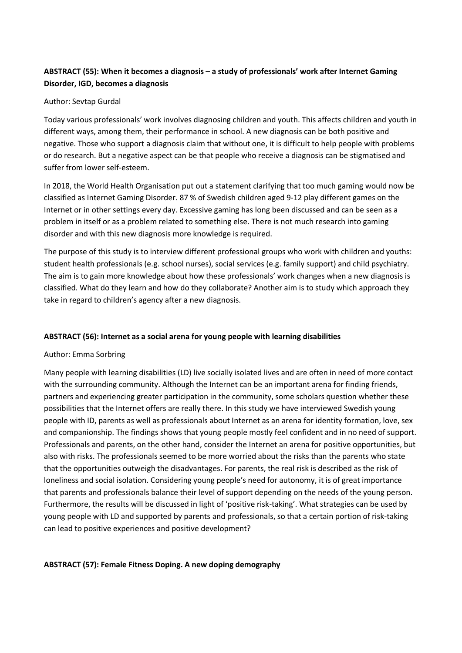# **ABSTRACT (55): When it becomes a diagnosis – a study of professionals' work after Internet Gaming Disorder, IGD, becomes a diagnosis**

## Author: Sevtap Gurdal

Today various professionals' work involves diagnosing children and youth. This affects children and youth in different ways, among them, their performance in school. A new diagnosis can be both positive and negative. Those who support a diagnosis claim that without one, it is difficult to help people with problems or do research. But a negative aspect can be that people who receive a diagnosis can be stigmatised and suffer from lower self-esteem.

In 2018, the World Health Organisation put out a statement clarifying that too much gaming would now be classified as Internet Gaming Disorder. 87 % of Swedish children aged 9-12 play different games on the Internet or in other settings every day. Excessive gaming has long been discussed and can be seen as a problem in itself or as a problem related to something else. There is not much research into gaming disorder and with this new diagnosis more knowledge is required.

The purpose of this study is to interview different professional groups who work with children and youths: student health professionals (e.g. school nurses), social services (e.g. family support) and child psychiatry. The aim is to gain more knowledge about how these professionals' work changes when a new diagnosis is classified. What do they learn and how do they collaborate? Another aim is to study which approach they take in regard to children's agency after a new diagnosis.

## **ABSTRACT (56): Internet as a social arena for young people with learning disabilities**

## Author: Emma Sorbring

Many people with learning disabilities (LD) live socially isolated lives and are often in need of more contact with the surrounding community. Although the Internet can be an important arena for finding friends, partners and experiencing greater participation in the community, some scholars question whether these possibilities that the Internet offers are really there. In this study we have interviewed Swedish young people with ID, parents as well as professionals about Internet as an arena for identity formation, love, sex and companionship. The findings shows that young people mostly feel confident and in no need of support. Professionals and parents, on the other hand, consider the Internet an arena for positive opportunities, but also with risks. The professionals seemed to be more worried about the risks than the parents who state that the opportunities outweigh the disadvantages. For parents, the real risk is described as the risk of loneliness and social isolation. Considering young people's need for autonomy, it is of great importance that parents and professionals balance their level of support depending on the needs of the young person. Furthermore, the results will be discussed in light of 'positive risk-taking'. What strategies can be used by young people with LD and supported by parents and professionals, so that a certain portion of risk-taking can lead to positive experiences and positive development?

### **ABSTRACT (57): Female Fitness Doping. A new doping demography**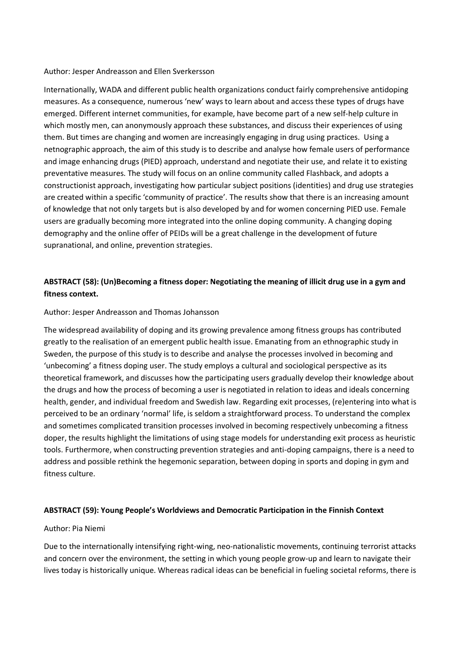#### Author: Jesper Andreasson and Ellen Sverkersson

Internationally, WADA and different public health organizations conduct fairly comprehensive antidoping measures. As a consequence, numerous 'new' ways to learn about and access these types of drugs have emerged. Different internet communities, for example, have become part of a new self-help culture in which mostly men, can anonymously approach these substances, and discuss their experiences of using them. But times are changing and women are increasingly engaging in drug using practices. Using a netnographic approach, the aim of this study is to describe and analyse how female users of performance and image enhancing drugs (PIED) approach, understand and negotiate their use, and relate it to existing preventative measures. The study will focus on an online community called Flashback, and adopts a constructionist approach, investigating how particular subject positions (identities) and drug use strategies are created within a specific 'community of practice'. The results show that there is an increasing amount of knowledge that not only targets but is also developed by and for women concerning PIED use. Female users are gradually becoming more integrated into the online doping community. A changing doping demography and the online offer of PEIDs will be a great challenge in the development of future supranational, and online, prevention strategies.

# **ABSTRACT (58): (Un)Becoming a fitness doper: Negotiating the meaning of illicit drug use in a gym and fitness context.**

#### Author: Jesper Andreasson and Thomas Johansson

The widespread availability of doping and its growing prevalence among fitness groups has contributed greatly to the realisation of an emergent public health issue. Emanating from an ethnographic study in Sweden, the purpose of this study is to describe and analyse the processes involved in becoming and 'unbecoming' a fitness doping user. The study employs a cultural and sociological perspective as its theoretical framework, and discusses how the participating users gradually develop their knowledge about the drugs and how the process of becoming a user is negotiated in relation to ideas and ideals concerning health, gender, and individual freedom and Swedish law. Regarding exit processes, (re)entering into what is perceived to be an ordinary 'normal' life, is seldom a straightforward process. To understand the complex and sometimes complicated transition processes involved in becoming respectively unbecoming a fitness doper, the results highlight the limitations of using stage models for understanding exit process as heuristic tools. Furthermore, when constructing prevention strategies and anti-doping campaigns, there is a need to address and possible rethink the hegemonic separation, between doping in sports and doping in gym and fitness culture.

### **ABSTRACT (59): Young People's Worldviews and Democratic Participation in the Finnish Context**

#### Author: Pia Niemi

Due to the internationally intensifying right-wing, neo-nationalistic movements, continuing terrorist attacks and concern over the environment, the setting in which young people grow-up and learn to navigate their lives today is historically unique. Whereas radical ideas can be beneficial in fueling societal reforms, there is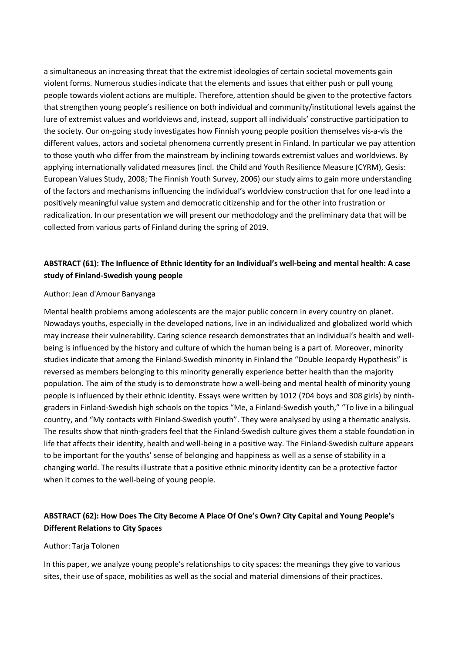a simultaneous an increasing threat that the extremist ideologies of certain societal movements gain violent forms. Numerous studies indicate that the elements and issues that either push or pull young people towards violent actions are multiple. Therefore, attention should be given to the protective factors that strengthen young people's resilience on both individual and community/institutional levels against the lure of extremist values and worldviews and, instead, support all individuals' constructive participation to the society. Our on-going study investigates how Finnish young people position themselves vis-a-vis the different values, actors and societal phenomena currently present in Finland. In particular we pay attention to those youth who differ from the mainstream by inclining towards extremist values and worldviews. By applying internationally validated measures (incl. the Child and Youth Resilience Measure (CYRM), Gesis: European Values Study, 2008; The Finnish Youth Survey, 2006) our study aims to gain more understanding of the factors and mechanisms influencing the individual's worldview construction that for one lead into a positively meaningful value system and democratic citizenship and for the other into frustration or radicalization. In our presentation we will present our methodology and the preliminary data that will be collected from various parts of Finland during the spring of 2019.

## **ABSTRACT (61): The Influence of Ethnic Identity for an Individual's well-being and mental health: A case study of Finland-Swedish young people**

### Author: Jean d'Amour Banyanga

Mental health problems among adolescents are the major public concern in every country on planet. Nowadays youths, especially in the developed nations, live in an individualized and globalized world which may increase their vulnerability. Caring science research demonstrates that an individual's health and wellbeing is influenced by the history and culture of which the human being is a part of. Moreover, minority studies indicate that among the Finland-Swedish minority in Finland the "Double Jeopardy Hypothesis" is reversed as members belonging to this minority generally experience better health than the majority population. The aim of the study is to demonstrate how a well-being and mental health of minority young people is influenced by their ethnic identity. Essays were written by 1012 (704 boys and 308 girls) by ninthgraders in Finland-Swedish high schools on the topics "Me, a Finland-Swedish youth," "To live in a bilingual country, and "My contacts with Finland-Swedish youth". They were analysed by using a thematic analysis. The results show that ninth-graders feel that the Finland-Swedish culture gives them a stable foundation in life that affects their identity, health and well-being in a positive way. The Finland-Swedish culture appears to be important for the youths' sense of belonging and happiness as well as a sense of stability in a changing world. The results illustrate that a positive ethnic minority identity can be a protective factor when it comes to the well-being of young people.

## **ABSTRACT (62): How Does The City Become A Place Of One's Own? City Capital and Young People's Different Relations to City Spaces**

#### Author: Tarja Tolonen

In this paper, we analyze young people's relationships to city spaces: the meanings they give to various sites, their use of space, mobilities as well as the social and material dimensions of their practices.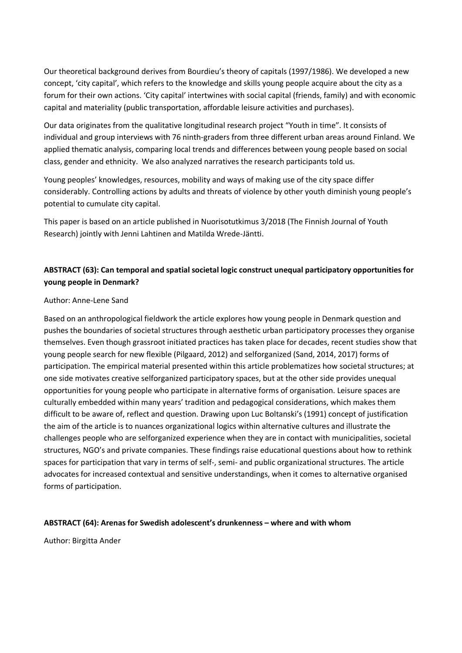Our theoretical background derives from Bourdieu's theory of capitals (1997/1986). We developed a new concept, 'city capital', which refers to the knowledge and skills young people acquire about the city as a forum for their own actions. 'City capital' intertwines with social capital (friends, family) and with economic capital and materiality (public transportation, affordable leisure activities and purchases).

Our data originates from the qualitative longitudinal research project "Youth in time". It consists of individual and group interviews with 76 ninth-graders from three different urban areas around Finland. We applied thematic analysis, comparing local trends and differences between young people based on social class, gender and ethnicity. We also analyzed narratives the research participants told us.

Young peoples' knowledges, resources, mobility and ways of making use of the city space differ considerably. Controlling actions by adults and threats of violence by other youth diminish young people's potential to cumulate city capital.

This paper is based on an article published in Nuorisotutkimus 3/2018 (The Finnish Journal of Youth Research) jointly with Jenni Lahtinen and Matilda Wrede-Jäntti.

## **ABSTRACT (63): Can temporal and spatial societal logic construct unequal participatory opportunities for young people in Denmark?**

## Author: Anne-Lene Sand

Based on an anthropological fieldwork the article explores how young people in Denmark question and pushes the boundaries of societal structures through aesthetic urban participatory processes they organise themselves. Even though grassroot initiated practices has taken place for decades, recent studies show that young people search for new flexible (Pilgaard, 2012) and selforganized (Sand, 2014, 2017) forms of participation. The empirical material presented within this article problematizes how societal structures; at one side motivates creative selforganized participatory spaces, but at the other side provides unequal opportunities for young people who participate in alternative forms of organisation. Leisure spaces are culturally embedded within many years' tradition and pedagogical considerations, which makes them difficult to be aware of, reflect and question. Drawing upon Luc Boltanski's (1991) concept of justification the aim of the article is to nuances organizational logics within alternative cultures and illustrate the challenges people who are selforganized experience when they are in contact with municipalities, societal structures, NGO's and private companies. These findings raise educational questions about how to rethink spaces for participation that vary in terms of self-, semi- and public organizational structures. The article advocates for increased contextual and sensitive understandings, when it comes to alternative organised forms of participation.

### **ABSTRACT (64): Arenas for Swedish adolescent's drunkenness – where and with whom**

Author: Birgitta Ander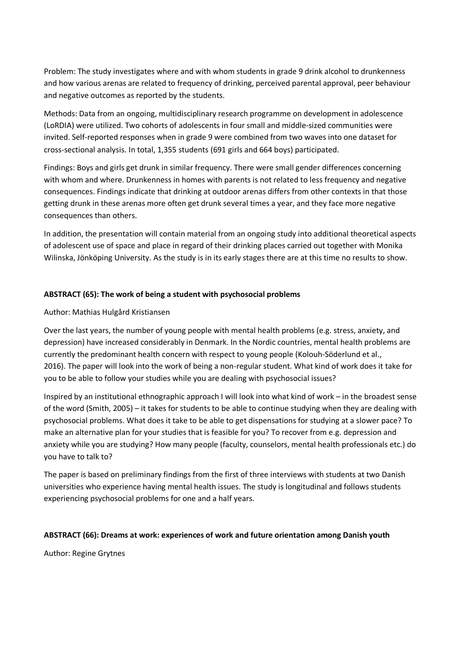Problem: The study investigates where and with whom students in grade 9 drink alcohol to drunkenness and how various arenas are related to frequency of drinking, perceived parental approval, peer behaviour and negative outcomes as reported by the students.

Methods: Data from an ongoing, multidisciplinary research programme on development in adolescence (LoRDIA) were utilized. Two cohorts of adolescents in four small and middle-sized communities were invited. Self-reported responses when in grade 9 were combined from two waves into one dataset for cross-sectional analysis. In total, 1,355 students (691 girls and 664 boys) participated.

Findings: Boys and girls get drunk in similar frequency. There were small gender differences concerning with whom and where. Drunkenness in homes with parents is not related to less frequency and negative consequences. Findings indicate that drinking at outdoor arenas differs from other contexts in that those getting drunk in these arenas more often get drunk several times a year, and they face more negative consequences than others.

In addition, the presentation will contain material from an ongoing study into additional theoretical aspects of adolescent use of space and place in regard of their drinking places carried out together with Monika Wilinska, Jönköping University. As the study is in its early stages there are at this time no results to show.

## **ABSTRACT (65): The work of being a student with psychosocial problems**

Author: Mathias Hulgård Kristiansen

Over the last years, the number of young people with mental health problems (e.g. stress, anxiety, and depression) have increased considerably in Denmark. In the Nordic countries, mental health problems are currently the predominant health concern with respect to young people (Kolouh-Söderlund et al., 2016). The paper will look into the work of being a non-regular student. What kind of work does it take for you to be able to follow your studies while you are dealing with psychosocial issues?

Inspired by an institutional ethnographic approach I will look into what kind of work – in the broadest sense of the word (Smith, 2005) – it takes for students to be able to continue studying when they are dealing with psychosocial problems. What does it take to be able to get dispensations for studying at a slower pace? To make an alternative plan for your studies that is feasible for you? To recover from e.g. depression and anxiety while you are studying? How many people (faculty, counselors, mental health professionals etc.) do you have to talk to?

The paper is based on preliminary findings from the first of three interviews with students at two Danish universities who experience having mental health issues. The study is longitudinal and follows students experiencing psychosocial problems for one and a half years.

## **ABSTRACT (66): Dreams at work: experiences of work and future orientation among Danish youth**

Author: Regine Grytnes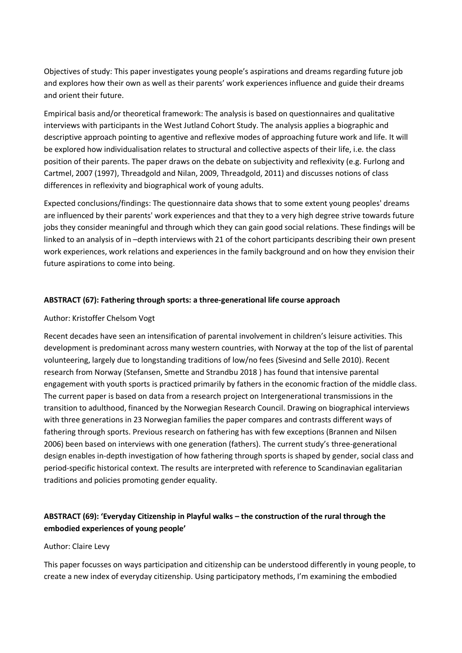Objectives of study: This paper investigates young people's aspirations and dreams regarding future job and explores how their own as well as their parents' work experiences influence and guide their dreams and orient their future.

Empirical basis and/or theoretical framework: The analysis is based on questionnaires and qualitative interviews with participants in the West Jutland Cohort Study. The analysis applies a biographic and descriptive approach pointing to agentive and reflexive modes of approaching future work and life. It will be explored how individualisation relates to structural and collective aspects of their life, i.e. the class position of their parents. The paper draws on the debate on subjectivity and reflexivity (e.g. Furlong and Cartmel, 2007 (1997), Threadgold and Nilan, 2009, Threadgold, 2011) and discusses notions of class differences in reflexivity and biographical work of young adults.

Expected conclusions/findings: The questionnaire data shows that to some extent young peoples' dreams are influenced by their parents' work experiences and that they to a very high degree strive towards future jobs they consider meaningful and through which they can gain good social relations. These findings will be linked to an analysis of in –depth interviews with 21 of the cohort participants describing their own present work experiences, work relations and experiences in the family background and on how they envision their future aspirations to come into being.

## **ABSTRACT (67): Fathering through sports: a three-generational life course approach**

### Author: Kristoffer Chelsom Vogt

Recent decades have seen an intensification of parental involvement in children's leisure activities. This development is predominant across many western countries, with Norway at the top of the list of parental volunteering, largely due to longstanding traditions of low/no fees (Sivesind and Selle 2010). Recent research from Norway (Stefansen, Smette and Strandbu 2018 ) has found that intensive parental engagement with youth sports is practiced primarily by fathers in the economic fraction of the middle class. The current paper is based on data from a research project on Intergenerational transmissions in the transition to adulthood, financed by the Norwegian Research Council. Drawing on biographical interviews with three generations in 23 Norwegian families the paper compares and contrasts different ways of fathering through sports. Previous research on fathering has with few exceptions (Brannen and Nilsen 2006) been based on interviews with one generation (fathers). The current study's three-generational design enables in-depth investigation of how fathering through sports is shaped by gender, social class and period-specific historical context. The results are interpreted with reference to Scandinavian egalitarian traditions and policies promoting gender equality.

# **ABSTRACT (69): 'Everyday Citizenship in Playful walks – the construction of the rural through the embodied experiences of young people'**

### Author: Claire Levy

This paper focusses on ways participation and citizenship can be understood differently in young people, to create a new index of everyday citizenship. Using participatory methods, I'm examining the embodied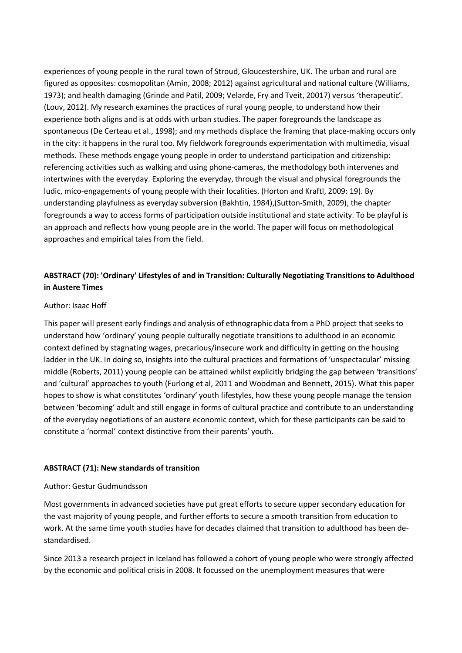experiences of young people in the rural town of Stroud, Gloucestershire, UK. The urban and rural are figured as opposites: cosmopolitan (Amin, 2008; 2012) against agricultural and national culture (Williams, 1973); and health damaging (Grinde and Patil, 2009; Velarde, Fry and Tveit, 20017) versus 'therapeutic'. (Louv, 2012). My research examines the practices of rural young people, to understand how their experience both aligns and is at odds with urban studies. The paper foregrounds the landscape as spontaneous (De Certeau et al., 1998); and my methods displace the framing that place-making occurs only in the city: it happens in the rural too. My fieldwork foregrounds experimentation with multimedia, visual methods. These methods engage young people in order to understand participation and citizenship: referencing activities such as walking and using phone-cameras, the methodology both intervenes and intertwines with the everyday. Exploring the everyday, through the visual and physical foregrounds the ludic, mico-engagements of young people with their localities. (Horton and Kraftl, 2009: 19). By understanding playfulness as everyday subversion (Bakhtin, 1984),(Sutton-Smith, 2009), the chapter foregrounds a way to access forms of participation outside institutional and state activity. To be playful is an approach and reflects how young people are in the world. The paper will focus on methodological approaches and empirical tales from the field.

## **ABSTRACT (70): 'Ordinary' Lifestyles of and in Transition: Culturally Negotiating Transitions to Adulthood in Austere Times**

### Author: Isaac Hoff

This paper will present early findings and analysis of ethnographic data from a PhD project that seeks to understand how 'ordinary' young people culturally negotiate transitions to adulthood in an economic context defined by stagnating wages, precarious/insecure work and difficulty in getting on the housing ladder in the UK. In doing so, insights into the cultural practices and formations of 'unspectacular' missing middle (Roberts, 2011) young people can be attained whilst explicitly bridging the gap between 'transitions' and 'cultural' approaches to youth (Furlong et al, 2011 and Woodman and Bennett, 2015). What this paper hopes to show is what constitutes 'ordinary' youth lifestyles, how these young people manage the tension between 'becoming' adult and still engage in forms of cultural practice and contribute to an understanding of the everyday negotiations of an austere economic context, which for these participants can be said to constitute a 'normal' context distinctive from their parents' youth.

#### **ABSTRACT (71): New standards of transition**

#### Author: Gestur Gudmundsson

Most governments in advanced societies have put great efforts to secure upper secondary education for the vast majority of young people, and further efforts to secure a smooth transition from education to work. At the same time youth studies have for decades claimed that transition to adulthood has been destandardised.

Since 2013 a research project in Iceland has followed a cohort of young people who were strongly affected by the economic and political crisis in 2008. It focussed on the unemployment measures that were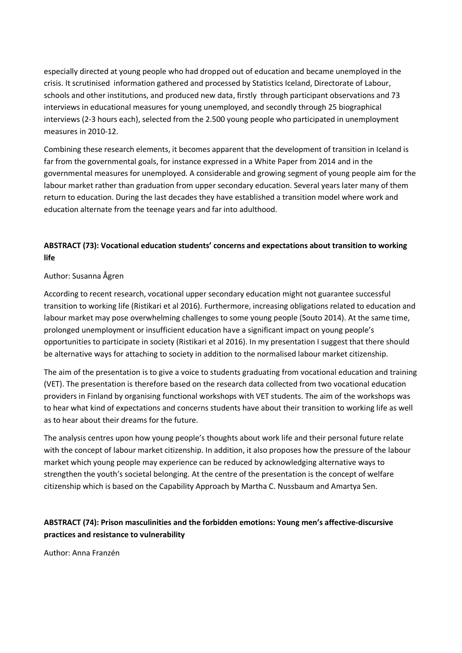especially directed at young people who had dropped out of education and became unemployed in the crisis. It scrutinised information gathered and processed by Statistics Iceland, Directorate of Labour, schools and other institutions, and produced new data, firstly through participant observations and 73 interviews in educational measures for young unemployed, and secondly through 25 biographical interviews (2-3 hours each), selected from the 2.500 young people who participated in unemployment measures in 2010-12.

Combining these research elements, it becomes apparent that the development of transition in Iceland is far from the governmental goals, for instance expressed in a White Paper from 2014 and in the governmental measures for unemployed. A considerable and growing segment of young people aim for the labour market rather than graduation from upper secondary education. Several years later many of them return to education. During the last decades they have established a transition model where work and education alternate from the teenage years and far into adulthood.

# **ABSTRACT (73): Vocational education students' concerns and expectations about transition to working life**

## Author: Susanna Ågren

According to recent research, vocational upper secondary education might not guarantee successful transition to working life (Ristikari et al 2016). Furthermore, increasing obligations related to education and labour market may pose overwhelming challenges to some young people (Souto 2014). At the same time, prolonged unemployment or insufficient education have a significant impact on young people's opportunities to participate in society (Ristikari et al 2016). In my presentation I suggest that there should be alternative ways for attaching to society in addition to the normalised labour market citizenship.

The aim of the presentation is to give a voice to students graduating from vocational education and training (VET). The presentation is therefore based on the research data collected from two vocational education providers in Finland by organising functional workshops with VET students. The aim of the workshops was to hear what kind of expectations and concerns students have about their transition to working life as well as to hear about their dreams for the future.

The analysis centres upon how young people's thoughts about work life and their personal future relate with the concept of labour market citizenship. In addition, it also proposes how the pressure of the labour market which young people may experience can be reduced by acknowledging alternative ways to strengthen the youth's societal belonging. At the centre of the presentation is the concept of welfare citizenship which is based on the Capability Approach by Martha C. Nussbaum and Amartya Sen.

# **ABSTRACT (74): Prison masculinities and the forbidden emotions: Young men's affective-discursive practices and resistance to vulnerability**

Author: Anna Franzén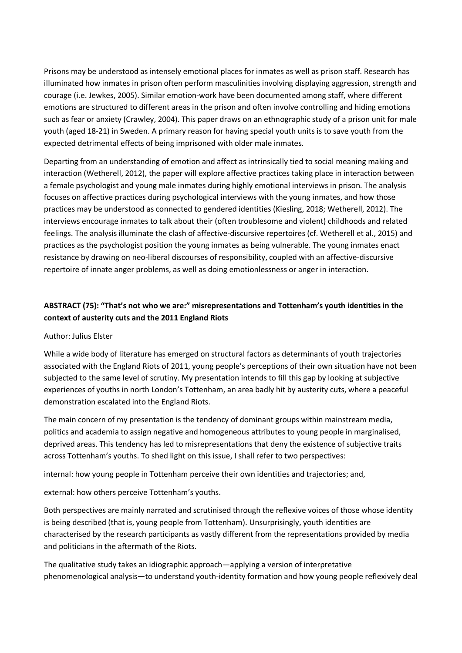Prisons may be understood as intensely emotional places for inmates as well as prison staff. Research has illuminated how inmates in prison often perform masculinities involving displaying aggression, strength and courage (i.e. Jewkes, 2005). Similar emotion-work have been documented among staff, where different emotions are structured to different areas in the prison and often involve controlling and hiding emotions such as fear or anxiety (Crawley, 2004). This paper draws on an ethnographic study of a prison unit for male youth (aged 18-21) in Sweden. A primary reason for having special youth units is to save youth from the expected detrimental effects of being imprisoned with older male inmates.

Departing from an understanding of emotion and affect as intrinsically tied to social meaning making and interaction (Wetherell, 2012), the paper will explore affective practices taking place in interaction between a female psychologist and young male inmates during highly emotional interviews in prison. The analysis focuses on affective practices during psychological interviews with the young inmates, and how those practices may be understood as connected to gendered identities (Kiesling, 2018; Wetherell, 2012). The interviews encourage inmates to talk about their (often troublesome and violent) childhoods and related feelings. The analysis illuminate the clash of affective-discursive repertoires (cf. Wetherell et al., 2015) and practices as the psychologist position the young inmates as being vulnerable. The young inmates enact resistance by drawing on neo-liberal discourses of responsibility, coupled with an affective-discursive repertoire of innate anger problems, as well as doing emotionlessness or anger in interaction.

# **ABSTRACT (75): "That's not who we are:" misrepresentations and Tottenham's youth identities in the context of austerity cuts and the 2011 England Riots**

### Author: Julius Elster

While a wide body of literature has emerged on structural factors as determinants of youth trajectories associated with the England Riots of 2011, young people's perceptions of their own situation have not been subjected to the same level of scrutiny. My presentation intends to fill this gap by looking at subjective experiences of youths in north London's Tottenham, an area badly hit by austerity cuts, where a peaceful demonstration escalated into the England Riots.

The main concern of my presentation is the tendency of dominant groups within mainstream media, politics and academia to assign negative and homogeneous attributes to young people in marginalised, deprived areas. This tendency has led to misrepresentations that deny the existence of subjective traits across Tottenham's youths. To shed light on this issue, I shall refer to two perspectives:

internal: how young people in Tottenham perceive their own identities and trajectories; and,

external: how others perceive Tottenham's youths.

Both perspectives are mainly narrated and scrutinised through the reflexive voices of those whose identity is being described (that is, young people from Tottenham). Unsurprisingly, youth identities are characterised by the research participants as vastly different from the representations provided by media and politicians in the aftermath of the Riots.

The qualitative study takes an idiographic approach—applying a version of interpretative phenomenological analysis—to understand youth-identity formation and how young people reflexively deal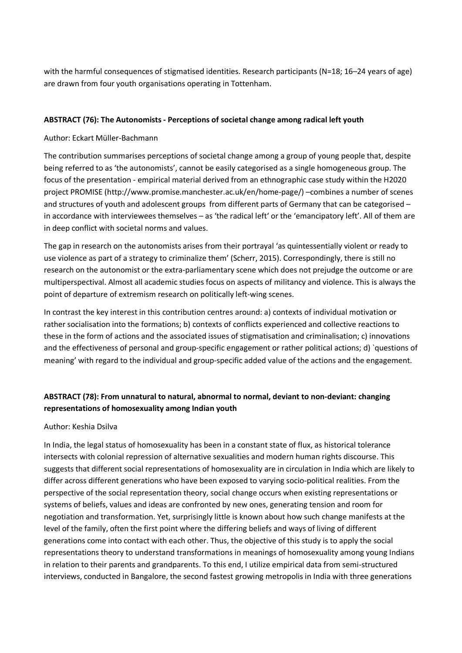with the harmful consequences of stigmatised identities. Research participants (N=18; 16–24 years of age) are drawn from four youth organisations operating in Tottenham.

## **ABSTRACT (76): The Autonomists - Perceptions of societal change among radical left youth**

## Author: Eckart Müller-Bachmann

The contribution summarises perceptions of societal change among a group of young people that, despite being referred to as 'the autonomists', cannot be easily categorised as a single homogeneous group. The focus of the presentation - empirical material derived from an ethnographic case study within the H2020 project PROMISE (http://www.promise.manchester.ac.uk/en/home-page/) –combines a number of scenes and structures of youth and adolescent groups from different parts of Germany that can be categorised – in accordance with interviewees themselves – as 'the radical left' or the 'emancipatory left'. All of them are in deep conflict with societal norms and values.

The gap in research on the autonomists arises from their portrayal 'as quintessentially violent or ready to use violence as part of a strategy to criminalize them' (Scherr, 2015). Correspondingly, there is still no research on the autonomist or the extra-parliamentary scene which does not prejudge the outcome or are multiperspectival. Almost all academic studies focus on aspects of militancy and violence. This is always the point of departure of extremism research on politically left-wing scenes.

In contrast the key interest in this contribution centres around: a) contexts of individual motivation or rather socialisation into the formations; b) contexts of conflicts experienced and collective reactions to these in the form of actions and the associated issues of stigmatisation and criminalisation; c) innovations and the effectiveness of personal and group-specific engagement or rather political actions; d) `questions of meaning' with regard to the individual and group-specific added value of the actions and the engagement.

## **ABSTRACT (78): From unnatural to natural, abnormal to normal, deviant to non-deviant: changing representations of homosexuality among Indian youth**

### Author: Keshia Dsilva

In India, the legal status of homosexuality has been in a constant state of flux, as historical tolerance intersects with colonial repression of alternative sexualities and modern human rights discourse. This suggests that different social representations of homosexuality are in circulation in India which are likely to differ across different generations who have been exposed to varying socio-political realities. From the perspective of the social representation theory, social change occurs when existing representations or systems of beliefs, values and ideas are confronted by new ones, generating tension and room for negotiation and transformation. Yet, surprisingly little is known about how such change manifests at the level of the family, often the first point where the differing beliefs and ways of living of different generations come into contact with each other. Thus, the objective of this study is to apply the social representations theory to understand transformations in meanings of homosexuality among young Indians in relation to their parents and grandparents. To this end, I utilize empirical data from semi-structured interviews, conducted in Bangalore, the second fastest growing metropolis in India with three generations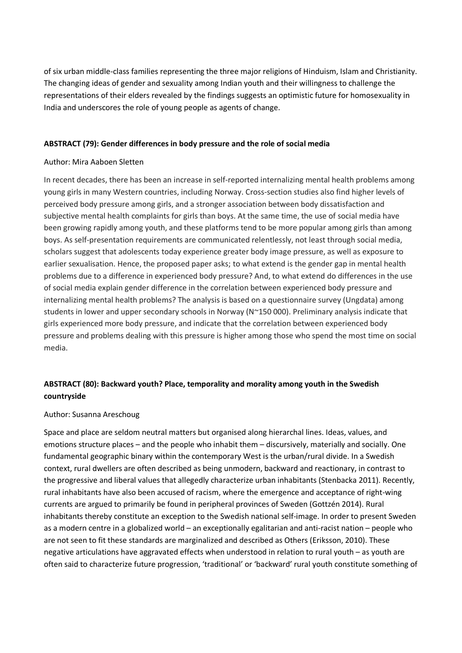of six urban middle-class families representing the three major religions of Hinduism, Islam and Christianity. The changing ideas of gender and sexuality among Indian youth and their willingness to challenge the representations of their elders revealed by the findings suggests an optimistic future for homosexuality in India and underscores the role of young people as agents of change.

## **ABSTRACT (79): Gender differences in body pressure and the role of social media**

### Author: Mira Aaboen Sletten

In recent decades, there has been an increase in self-reported internalizing mental health problems among young girls in many Western countries, including Norway. Cross-section studies also find higher levels of perceived body pressure among girls, and a stronger association between body dissatisfaction and subjective mental health complaints for girls than boys. At the same time, the use of social media have been growing rapidly among youth, and these platforms tend to be more popular among girls than among boys. As self-presentation requirements are communicated relentlessly, not least through social media, scholars suggest that adolescents today experience greater body image pressure, as well as exposure to earlier sexualisation. Hence, the proposed paper asks; to what extend is the gender gap in mental health problems due to a difference in experienced body pressure? And, to what extend do differences in the use of social media explain gender difference in the correlation between experienced body pressure and internalizing mental health problems? The analysis is based on a questionnaire survey (Ungdata) among students in lower and upper secondary schools in Norway (N~150 000). Preliminary analysis indicate that girls experienced more body pressure, and indicate that the correlation between experienced body pressure and problems dealing with this pressure is higher among those who spend the most time on social media.

# **ABSTRACT (80): Backward youth? Place, temporality and morality among youth in the Swedish countryside**

### Author: Susanna Areschoug

Space and place are seldom neutral matters but organised along hierarchal lines. Ideas, values, and emotions structure places – and the people who inhabit them – discursively, materially and socially. One fundamental geographic binary within the contemporary West is the urban/rural divide. In a Swedish context, rural dwellers are often described as being unmodern, backward and reactionary, in contrast to the progressive and liberal values that allegedly characterize urban inhabitants (Stenbacka 2011). Recently, rural inhabitants have also been accused of racism, where the emergence and acceptance of right-wing currents are argued to primarily be found in peripheral provinces of Sweden (Gottzén 2014). Rural inhabitants thereby constitute an exception to the Swedish national self-image. In order to present Sweden as a modern centre in a globalized world – an exceptionally egalitarian and anti-racist nation – people who are not seen to fit these standards are marginalized and described as Others (Eriksson, 2010). These negative articulations have aggravated effects when understood in relation to rural youth – as youth are often said to characterize future progression, 'traditional' or 'backward' rural youth constitute something of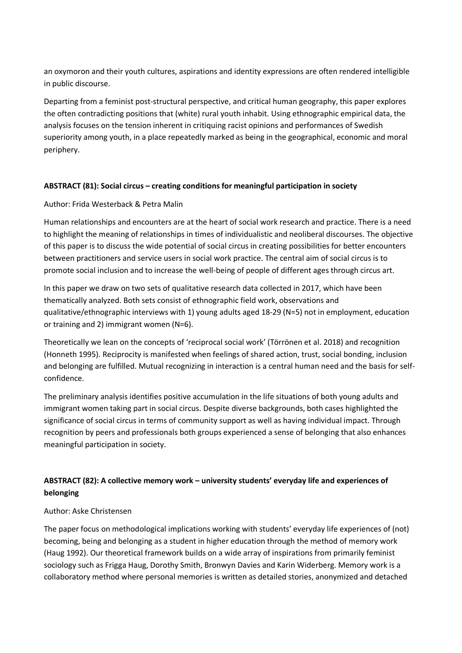an oxymoron and their youth cultures, aspirations and identity expressions are often rendered intelligible in public discourse.

Departing from a feminist post-structural perspective, and critical human geography, this paper explores the often contradicting positions that (white) rural youth inhabit. Using ethnographic empirical data, the analysis focuses on the tension inherent in critiquing racist opinions and performances of Swedish superiority among youth, in a place repeatedly marked as being in the geographical, economic and moral periphery.

## **ABSTRACT (81): Social circus – creating conditions for meaningful participation in society**

## Author: Frida Westerback & Petra Malin

Human relationships and encounters are at the heart of social work research and practice. There is a need to highlight the meaning of relationships in times of individualistic and neoliberal discourses. The objective of this paper is to discuss the wide potential of social circus in creating possibilities for better encounters between practitioners and service users in social work practice. The central aim of social circus is to promote social inclusion and to increase the well-being of people of different ages through circus art.

In this paper we draw on two sets of qualitative research data collected in 2017, which have been thematically analyzed. Both sets consist of ethnographic field work, observations and qualitative/ethnographic interviews with 1) young adults aged 18-29 (N=5) not in employment, education or training and 2) immigrant women (N=6).

Theoretically we lean on the concepts of 'reciprocal social work' (Törrönen et al. 2018) and recognition (Honneth 1995). Reciprocity is manifested when feelings of shared action, trust, social bonding, inclusion and belonging are fulfilled. Mutual recognizing in interaction is a central human need and the basis for selfconfidence.

The preliminary analysis identifies positive accumulation in the life situations of both young adults and immigrant women taking part in social circus. Despite diverse backgrounds, both cases highlighted the significance of social circus in terms of community support as well as having individual impact. Through recognition by peers and professionals both groups experienced a sense of belonging that also enhances meaningful participation in society.

# **ABSTRACT (82): A collective memory work – university students' everyday life and experiences of belonging**

## Author: Aske Christensen

The paper focus on methodological implications working with students' everyday life experiences of (not) becoming, being and belonging as a student in higher education through the method of memory work (Haug 1992). Our theoretical framework builds on a wide array of inspirations from primarily feminist sociology such as Frigga Haug, Dorothy Smith, Bronwyn Davies and Karin Widerberg. Memory work is a collaboratory method where personal memories is written as detailed stories, anonymized and detached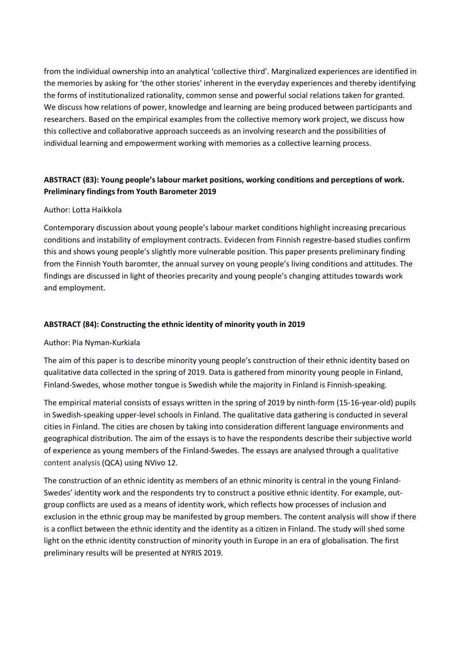from the individual ownership into an analytical 'collective third'. Marginalized experiences are identified in the memories by asking for 'the other stories' inherent in the everyday experiences and thereby identifying the forms of institutionalized rationality, common sense and powerful social relations taken for granted. We discuss how relations of power, knowledge and learning are being produced between participants and researchers. Based on the empirical examples from the collective memory work project, we discuss how this collective and collaborative approach succeeds as an involving research and the possibilities of individual learning and empowerment working with memories as a collective learning process.

# **ABSTRACT (83): Young people's labour market positions, working conditions and perceptions of work. Preliminary findings from Youth Barometer 2019**

## Author: Lotta Haikkola

Contemporary discussion about young people's labour market conditions highlight increasing precarious conditions and instability of employment contracts. Evidecen from Finnish regestre-based studies confirm this and shows young people's slightly more vulnerable position. This paper presents preliminary finding from the Finnish Youth baromter, the annual survey on young people's living conditions and attitudes. The findings are discussed in light of theories precarity and young people's changing attitudes towards work and employment.

## **ABSTRACT (84): Constructing the ethnic identity of minority youth in 2019**

### Author: Pia Nyman-Kurkiala

The aim of this paper is to describe minority young people's construction of their ethnic identity based on qualitative data collected in the spring of 2019. Data is gathered from minority young people in Finland, Finland-Swedes, whose mother tongue is Swedish while the majority in Finland is Finnish-speaking.

The empirical material consists of essays written in the spring of 2019 by ninth-form (15-16-year-old) pupils in Swedish-speaking upper-level schools in Finland. The qualitative data gathering is conducted in several cities in Finland. The cities are chosen by taking into consideration different language environments and geographical distribution. The aim of the essays is to have the respondents describe their subjective world of experience as young members of the Finland-Swedes. The essays are analysed through a qualitative content analysis (QCA) using NVivo 12.

The construction of an ethnic identity as members of an ethnic minority is central in the young Finland-Swedes' identity work and the respondents try to construct a positive ethnic identity. For example, outgroup conflicts are used as a means of identity work, which reflects how processes of inclusion and exclusion in the ethnic group may be manifested by group members. The content analysis will show if there is a conflict between the ethnic identity and the identity as a citizen in Finland. The study will shed some light on the ethnic identity construction of minority youth in Europe in an era of globalisation. The first preliminary results will be presented at NYRIS 2019.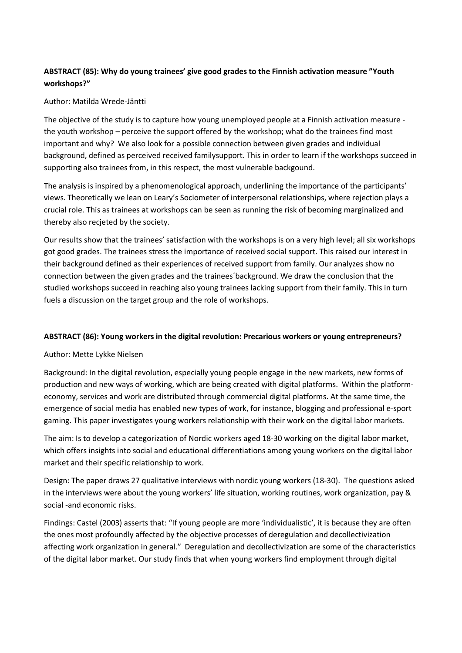# **ABSTRACT (85): Why do young trainees' give good grades to the Finnish activation measure "Youth workshops?"**

## Author: Matilda Wrede-Jäntti

The objective of the study is to capture how young unemployed people at a Finnish activation measure the youth workshop – perceive the support offered by the workshop; what do the trainees find most important and why? We also look for a possible connection between given grades and individual background, defined as perceived received familysupport. This in order to learn if the workshops succeed in supporting also trainees from, in this respect, the most vulnerable backgound.

The analysis is inspired by a phenomenological approach, underlining the importance of the participants' views. Theoretically we lean on Leary's Sociometer of interpersonal relationships, where rejection plays a crucial role. This as trainees at workshops can be seen as running the risk of becoming marginalized and thereby also recjeted by the society.

Our results show that the trainees' satisfaction with the workshops is on a very high level; all six workshops got good grades. The trainees stress the importance of received social support. This raised our interest in their background defined as their experiences of received support from family. Our analyzes show no connection between the given grades and the trainees´background. We draw the conclusion that the studied workshops succeed in reaching also young trainees lacking support from their family. This in turn fuels a discussion on the target group and the role of workshops.

## **ABSTRACT (86): Young workers in the digital revolution: Precarious workers or young entrepreneurs?**

## Author: Mette Lykke Nielsen

Background: In the digital revolution, especially young people engage in the new markets, new forms of production and new ways of working, which are being created with digital platforms. Within the platformeconomy, services and work are distributed through commercial digital platforms. At the same time, the emergence of social media has enabled new types of work, for instance, blogging and professional e-sport gaming. This paper investigates young workers relationship with their work on the digital labor markets.

The aim: Is to develop a categorization of Nordic workers aged 18-30 working on the digital labor market, which offers insights into social and educational differentiations among young workers on the digital labor market and their specific relationship to work.

Design: The paper draws 27 qualitative interviews with nordic young workers (18-30). The questions asked in the interviews were about the young workers' life situation, working routines, work organization, pay & social -and economic risks.

Findings: Castel (2003) asserts that: "If young people are more 'individualistic', it is because they are often the ones most profoundly affected by the objective processes of deregulation and decollectivization affecting work organization in general." Deregulation and decollectivization are some of the characteristics of the digital labor market. Our study finds that when young workers find employment through digital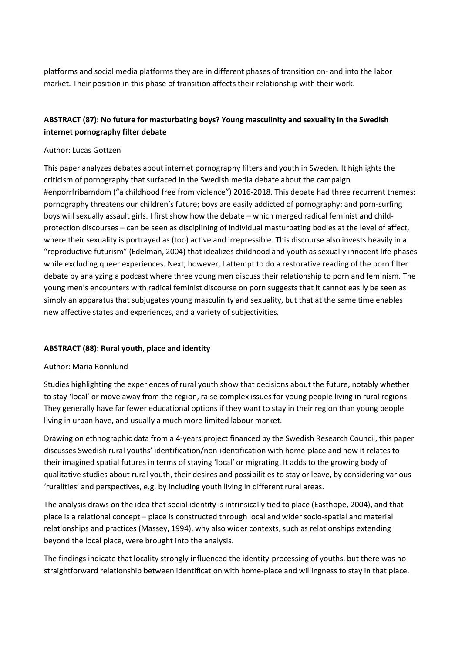platforms and social media platforms they are in different phases of transition on- and into the labor market. Their position in this phase of transition affects their relationship with their work.

# **ABSTRACT (87): No future for masturbating boys? Young masculinity and sexuality in the Swedish internet pornography filter debate**

## Author: Lucas Gottzén

This paper analyzes debates about internet pornography filters and youth in Sweden. It highlights the criticism of pornography that surfaced in the Swedish media debate about the campaign #enporrfribarndom ("a childhood free from violence") 2016-2018. This debate had three recurrent themes: pornography threatens our children's future; boys are easily addicted of pornography; and porn-surfing boys will sexually assault girls. I first show how the debate – which merged radical feminist and childprotection discourses – can be seen as disciplining of individual masturbating bodies at the level of affect, where their sexuality is portrayed as (too) active and irrepressible. This discourse also invests heavily in a "reproductive futurism" (Edelman, 2004) that idealizes childhood and youth as sexually innocent life phases while excluding queer experiences. Next, however, I attempt to do a restorative reading of the porn filter debate by analyzing a podcast where three young men discuss their relationship to porn and feminism. The young men's encounters with radical feminist discourse on porn suggests that it cannot easily be seen as simply an apparatus that subjugates young masculinity and sexuality, but that at the same time enables new affective states and experiences, and a variety of subjectivities.

## **ABSTRACT (88): Rural youth, place and identity**

### Author: Maria Rönnlund

Studies highlighting the experiences of rural youth show that decisions about the future, notably whether to stay 'local' or move away from the region, raise complex issues for young people living in rural regions. They generally have far fewer educational options if they want to stay in their region than young people living in urban have, and usually a much more limited labour market.

Drawing on ethnographic data from a 4-years project financed by the Swedish Research Council, this paper discusses Swedish rural youths' identification/non-identification with home-place and how it relates to their imagined spatial futures in terms of staying 'local' or migrating. It adds to the growing body of qualitative studies about rural youth, their desires and possibilities to stay or leave, by considering various 'ruralities' and perspectives, e.g. by including youth living in different rural areas.

The analysis draws on the idea that social identity is intrinsically tied to place (Easthope, 2004), and that place is a relational concept – place is constructed through local and wider socio-spatial and material relationships and practices (Massey, 1994), why also wider contexts, such as relationships extending beyond the local place, were brought into the analysis.

The findings indicate that locality strongly influenced the identity-processing of youths, but there was no straightforward relationship between identification with home-place and willingness to stay in that place.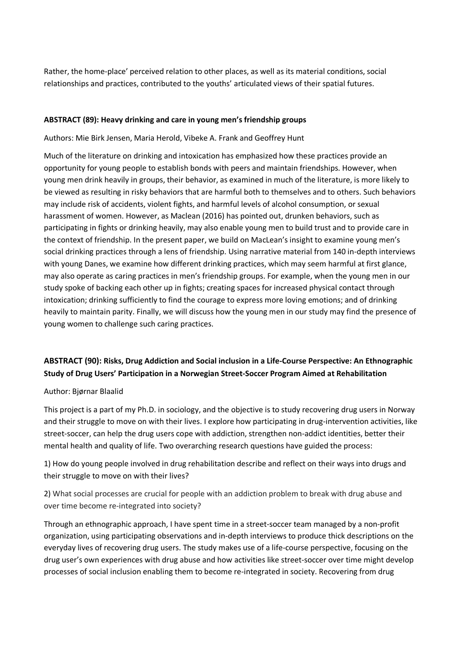Rather, the home-place' perceived relation to other places, as well as its material conditions, social relationships and practices, contributed to the youths' articulated views of their spatial futures.

### **ABSTRACT (89): Heavy drinking and care in young men's friendship groups**

Authors: Mie Birk Jensen, Maria Herold, Vibeke A. Frank and Geoffrey Hunt

Much of the literature on drinking and intoxication has emphasized how these practices provide an opportunity for young people to establish bonds with peers and maintain friendships. However, when young men drink heavily in groups, their behavior, as examined in much of the literature, is more likely to be viewed as resulting in risky behaviors that are harmful both to themselves and to others. Such behaviors may include risk of accidents, violent fights, and harmful levels of alcohol consumption, or sexual harassment of women. However, as Maclean (2016) has pointed out, drunken behaviors, such as participating in fights or drinking heavily, may also enable young men to build trust and to provide care in the context of friendship. In the present paper, we build on MacLean's insight to examine young men's social drinking practices through a lens of friendship. Using narrative material from 140 in-depth interviews with young Danes, we examine how different drinking practices, which may seem harmful at first glance, may also operate as caring practices in men's friendship groups. For example, when the young men in our study spoke of backing each other up in fights; creating spaces for increased physical contact through intoxication; drinking sufficiently to find the courage to express more loving emotions; and of drinking heavily to maintain parity. Finally, we will discuss how the young men in our study may find the presence of young women to challenge such caring practices.

# **ABSTRACT (90): Risks, Drug Addiction and Social inclusion in a Life-Course Perspective: An Ethnographic Study of Drug Users' Participation in a Norwegian Street-Soccer Program Aimed at Rehabilitation**

### Author: Bjørnar Blaalid

This project is a part of my Ph.D. in sociology, and the objective is to study recovering drug users in Norway and their struggle to move on with their lives. I explore how participating in drug-intervention activities, like street-soccer, can help the drug users cope with addiction, strengthen non-addict identities, better their mental health and quality of life. Two overarching research questions have guided the process:

1) How do young people involved in drug rehabilitation describe and reflect on their ways into drugs and their struggle to move on with their lives?

2) What social processes are crucial for people with an addiction problem to break with drug abuse and over time become re-integrated into society?

Through an ethnographic approach, I have spent time in a street-soccer team managed by a non-profit organization, using participating observations and in-depth interviews to produce thick descriptions on the everyday lives of recovering drug users. The study makes use of a life-course perspective, focusing on the drug user's own experiences with drug abuse and how activities like street-soccer over time might develop processes of social inclusion enabling them to become re-integrated in society. Recovering from drug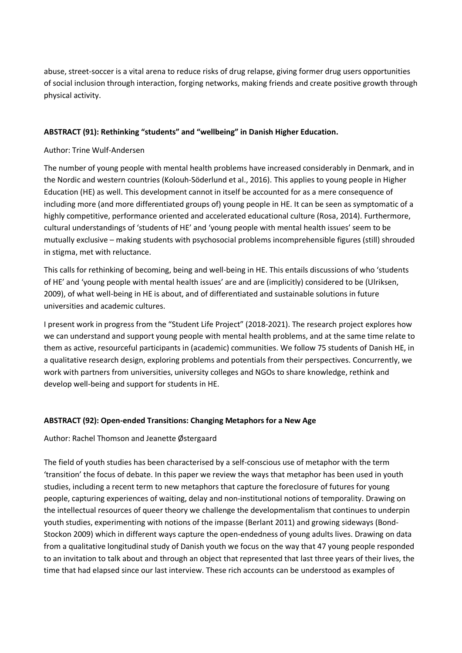abuse, street-soccer is a vital arena to reduce risks of drug relapse, giving former drug users opportunities of social inclusion through interaction, forging networks, making friends and create positive growth through physical activity.

## **ABSTRACT (91): Rethinking "students" and "wellbeing" in Danish Higher Education.**

## Author: Trine Wulf-Andersen

The number of young people with mental health problems have increased considerably in Denmark, and in the Nordic and western countries (Kolouh-Söderlund et al., 2016). This applies to young people in Higher Education (HE) as well. This development cannot in itself be accounted for as a mere consequence of including more (and more differentiated groups of) young people in HE. It can be seen as symptomatic of a highly competitive, performance oriented and accelerated educational culture (Rosa, 2014). Furthermore, cultural understandings of 'students of HE' and 'young people with mental health issues' seem to be mutually exclusive – making students with psychosocial problems incomprehensible figures (still) shrouded in stigma, met with reluctance.

This calls for rethinking of becoming, being and well-being in HE. This entails discussions of who 'students of HE' and 'young people with mental health issues' are and are (implicitly) considered to be (Ulriksen, 2009), of what well-being in HE is about, and of differentiated and sustainable solutions in future universities and academic cultures.

I present work in progress from the "Student Life Project" (2018-2021). The research project explores how we can understand and support young people with mental health problems, and at the same time relate to them as active, resourceful participants in (academic) communities. We follow 75 students of Danish HE, in a qualitative research design, exploring problems and potentials from their perspectives. Concurrently, we work with partners from universities, university colleges and NGOs to share knowledge, rethink and develop well-being and support for students in HE.

### **ABSTRACT (92): Open-ended Transitions: Changing Metaphors for a New Age**

### Author: Rachel Thomson and Jeanette Østergaard

The field of youth studies has been characterised by a self-conscious use of metaphor with the term 'transition' the focus of debate. In this paper we review the ways that metaphor has been used in youth studies, including a recent term to new metaphors that capture the foreclosure of futures for young people, capturing experiences of waiting, delay and non-institutional notions of temporality. Drawing on the intellectual resources of queer theory we challenge the developmentalism that continues to underpin youth studies, experimenting with notions of the impasse (Berlant 2011) and growing sideways (Bond-Stockon 2009) which in different ways capture the open-endedness of young adults lives. Drawing on data from a qualitative longitudinal study of Danish youth we focus on the way that 47 young people responded to an invitation to talk about and through an object that represented that last three years of their lives, the time that had elapsed since our last interview. These rich accounts can be understood as examples of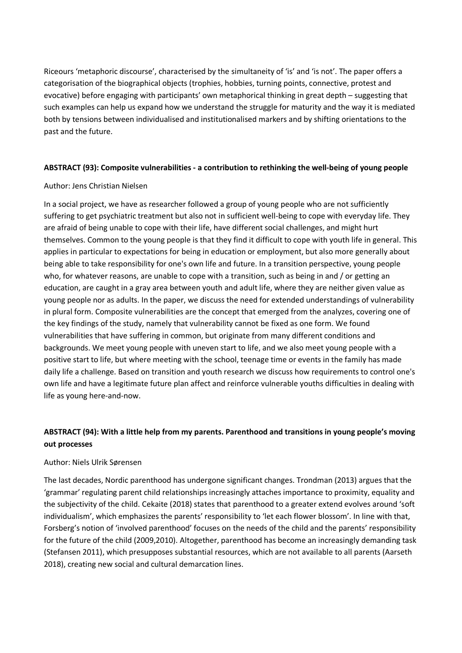Riceours 'metaphoric discourse', characterised by the simultaneity of 'is' and 'is not'. The paper offers a categorisation of the biographical objects (trophies, hobbies, turning points, connective, protest and evocative) before engaging with participants' own metaphorical thinking in great depth – suggesting that such examples can help us expand how we understand the struggle for maturity and the way it is mediated both by tensions between individualised and institutionalised markers and by shifting orientations to the past and the future.

## **ABSTRACT (93): Composite vulnerabilities - a contribution to rethinking the well-being of young people**

### Author: Jens Christian Nielsen

In a social project, we have as researcher followed a group of young people who are not sufficiently suffering to get psychiatric treatment but also not in sufficient well-being to cope with everyday life. They are afraid of being unable to cope with their life, have different social challenges, and might hurt themselves. Common to the young people is that they find it difficult to cope with youth life in general. This applies in particular to expectations for being in education or employment, but also more generally about being able to take responsibility for one's own life and future. In a transition perspective, young people who, for whatever reasons, are unable to cope with a transition, such as being in and / or getting an education, are caught in a gray area between youth and adult life, where they are neither given value as young people nor as adults. In the paper, we discuss the need for extended understandings of vulnerability in plural form. Composite vulnerabilities are the concept that emerged from the analyzes, covering one of the key findings of the study, namely that vulnerability cannot be fixed as one form. We found vulnerabilities that have suffering in common, but originate from many different conditions and backgrounds. We meet young people with uneven start to life, and we also meet young people with a positive start to life, but where meeting with the school, teenage time or events in the family has made daily life a challenge. Based on transition and youth research we discuss how requirements to control one's own life and have a legitimate future plan affect and reinforce vulnerable youths difficulties in dealing with life as young here-and-now.

# **ABSTRACT (94): With a little help from my parents. Parenthood and transitions in young people's moving out processes**

### Author: Niels Ulrik Sørensen

The last decades, Nordic parenthood has undergone significant changes. Trondman (2013) argues that the 'grammar' regulating parent child relationships increasingly attaches importance to proximity, equality and the subjectivity of the child. Cekaite (2018) states that parenthood to a greater extend evolves around 'soft individualism', which emphasizes the parents' responsibility to 'let each flower blossom'. In line with that, Forsberg's notion of 'involved parenthood' focuses on the needs of the child and the parents' responsibility for the future of the child (2009,2010). Altogether, parenthood has become an increasingly demanding task (Stefansen 2011), which presupposes substantial resources, which are not available to all parents (Aarseth 2018), creating new social and cultural demarcation lines.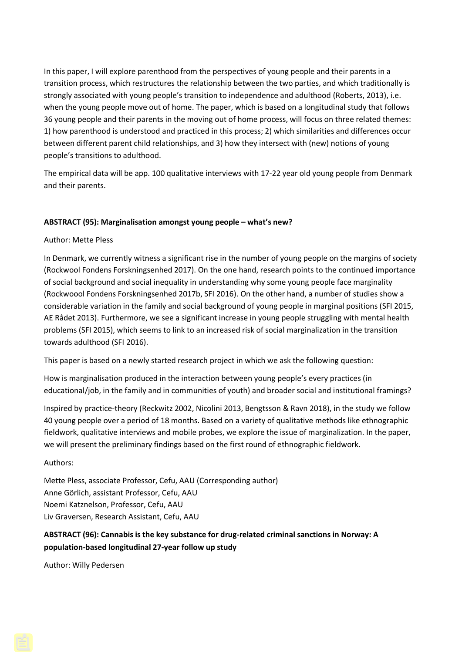In this paper, I will explore parenthood from the perspectives of young people and their parents in a transition process, which restructures the relationship between the two parties, and which traditionally is strongly associated with young people's transition to independence and adulthood (Roberts, 2013), i.e. when the young people move out of home. The paper, which is based on a longitudinal study that follows 36 young people and their parents in the moving out of home process, will focus on three related themes: 1) how parenthood is understood and practiced in this process; 2) which similarities and differences occur between different parent child relationships, and 3) how they intersect with (new) notions of young people's transitions to adulthood.

The empirical data will be app. 100 qualitative interviews with 17-22 year old young people from Denmark and their parents.

## **ABSTRACT (95): Marginalisation amongst young people – what's new?**

## Author: Mette Pless

In Denmark, we currently witness a significant rise in the number of young people on the margins of society (Rockwool Fondens Forskningsenhed 2017). On the one hand, research points to the continued importance of social background and social inequality in understanding why some young people face marginality (Rockwoool Fondens Forskningsenhed 2017b, SFI 2016). On the other hand, a number of studies show a considerable variation in the family and social background of young people in marginal positions (SFI 2015, AE Rådet 2013). Furthermore, we see a significant increase in young people struggling with mental health problems (SFI 2015), which seems to link to an increased risk of social marginalization in the transition towards adulthood (SFI 2016).

This paper is based on a newly started research project in which we ask the following question:

How is marginalisation produced in the interaction between young people's every practices (in educational/job, in the family and in communities of youth) and broader social and institutional framings?

Inspired by practice-theory (Reckwitz 2002, Nicolini 2013, Bengtsson & Ravn 2018), in the study we follow 40 young people over a period of 18 months. Based on a variety of qualitative methods like ethnographic fieldwork, qualitative interviews and mobile probes, we explore the issue of marginalization. In the paper, we will present the preliminary findings based on the first round of ethnographic fieldwork.

### Authors:

Mette Pless, associate Professor, Cefu, AAU (Corresponding author) Anne Görlich, assistant Professor, Cefu, AAU Noemi Katznelson, Professor, Cefu, AAU Liv Graversen, Research Assistant, Cefu, AAU

## **ABSTRACT (96): Cannabis is the key substance for drug-related criminal sanctions in Norway: A population-based longitudinal 27-year follow up study**

Author: Willy Pedersen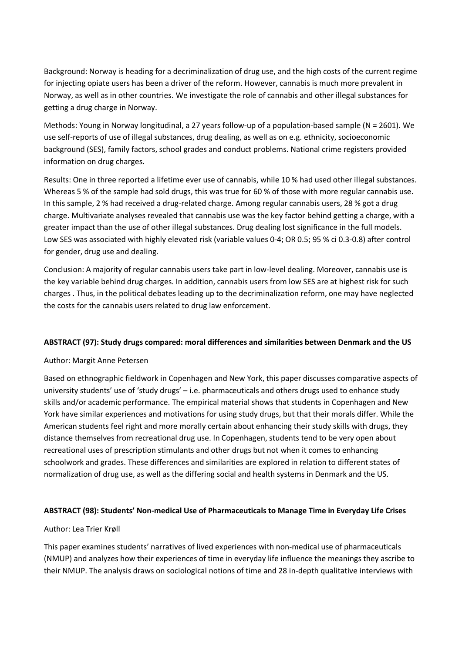Background: Norway is heading for a decriminalization of drug use, and the high costs of the current regime for injecting opiate users has been a driver of the reform. However, cannabis is much more prevalent in Norway, as well as in other countries. We investigate the role of cannabis and other illegal substances for getting a drug charge in Norway.

Methods: Young in Norway longitudinal, a 27 years follow-up of a population-based sample (N = 2601). We use self-reports of use of illegal substances, drug dealing, as well as on e.g. ethnicity, socioeconomic background (SES), family factors, school grades and conduct problems. National crime registers provided information on drug charges.

Results: One in three reported a lifetime ever use of cannabis, while 10 % had used other illegal substances. Whereas 5 % of the sample had sold drugs, this was true for 60 % of those with more regular cannabis use. In this sample, 2 % had received a drug-related charge. Among regular cannabis users, 28 % got a drug charge. Multivariate analyses revealed that cannabis use was the key factor behind getting a charge, with a greater impact than the use of other illegal substances. Drug dealing lost significance in the full models. Low SES was associated with highly elevated risk (variable values 0-4; OR 0.5; 95 % ci 0.3-0.8) after control for gender, drug use and dealing.

Conclusion: A majority of regular cannabis users take part in low-level dealing. Moreover, cannabis use is the key variable behind drug charges. In addition, cannabis users from low SES are at highest risk for such charges . Thus, in the political debates leading up to the decriminalization reform, one may have neglected the costs for the cannabis users related to drug law enforcement.

## **ABSTRACT (97): Study drugs compared: moral differences and similarities between Denmark and the US**

### Author: Margit Anne Petersen

Based on ethnographic fieldwork in Copenhagen and New York, this paper discusses comparative aspects of university students' use of 'study drugs' – i.e. pharmaceuticals and others drugs used to enhance study skills and/or academic performance. The empirical material shows that students in Copenhagen and New York have similar experiences and motivations for using study drugs, but that their morals differ. While the American students feel right and more morally certain about enhancing their study skills with drugs, they distance themselves from recreational drug use. In Copenhagen, students tend to be very open about recreational uses of prescription stimulants and other drugs but not when it comes to enhancing schoolwork and grades. These differences and similarities are explored in relation to different states of normalization of drug use, as well as the differing social and health systems in Denmark and the US.

## **ABSTRACT (98): Students' Non-medical Use of Pharmaceuticals to Manage Time in Everyday Life Crises**

### Author: Lea Trier Krøll

This paper examines students' narratives of lived experiences with non-medical use of pharmaceuticals (NMUP) and analyzes how their experiences of time in everyday life influence the meanings they ascribe to their NMUP. The analysis draws on sociological notions of time and 28 in-depth qualitative interviews with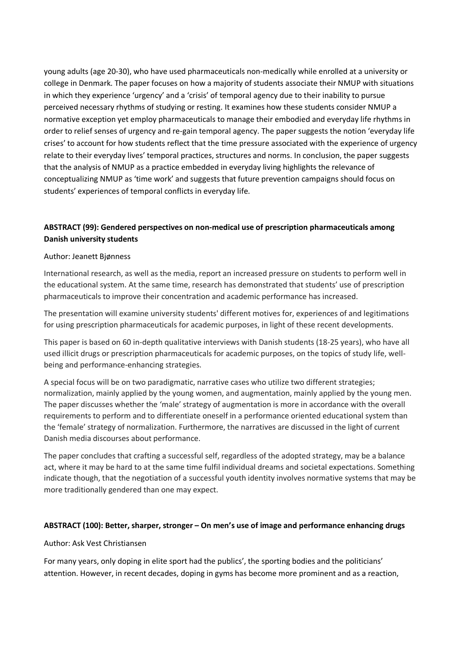young adults (age 20-30), who have used pharmaceuticals non-medically while enrolled at a university or college in Denmark. The paper focuses on how a majority of students associate their NMUP with situations in which they experience 'urgency' and a 'crisis' of temporal agency due to their inability to pursue perceived necessary rhythms of studying or resting. It examines how these students consider NMUP a normative exception yet employ pharmaceuticals to manage their embodied and everyday life rhythms in order to relief senses of urgency and re-gain temporal agency. The paper suggests the notion 'everyday life crises' to account for how students reflect that the time pressure associated with the experience of urgency relate to their everyday lives' temporal practices, structures and norms. In conclusion, the paper suggests that the analysis of NMUP as a practice embedded in everyday living highlights the relevance of conceptualizing NMUP as 'time work' and suggests that future prevention campaigns should focus on students' experiences of temporal conflicts in everyday life.

## **ABSTRACT (99): Gendered perspectives on non-medical use of prescription pharmaceuticals among Danish university students**

### Author: Jeanett Bjønness

International research, as well as the media, report an increased pressure on students to perform well in the educational system. At the same time, research has demonstrated that students' use of prescription pharmaceuticals to improve their concentration and academic performance has increased.

The presentation will examine university students' different motives for, experiences of and legitimations for using prescription pharmaceuticals for academic purposes, in light of these recent developments.

This paper is based on 60 in-depth qualitative interviews with Danish students (18-25 years), who have all used illicit drugs or prescription pharmaceuticals for academic purposes, on the topics of study life, wellbeing and performance-enhancing strategies.

A special focus will be on two paradigmatic, narrative cases who utilize two different strategies; normalization, mainly applied by the young women, and augmentation, mainly applied by the young men. The paper discusses whether the 'male' strategy of augmentation is more in accordance with the overall requirements to perform and to differentiate oneself in a performance oriented educational system than the 'female' strategy of normalization. Furthermore, the narratives are discussed in the light of current Danish media discourses about performance.

The paper concludes that crafting a successful self, regardless of the adopted strategy, may be a balance act, where it may be hard to at the same time fulfil individual dreams and societal expectations. Something indicate though, that the negotiation of a successful youth identity involves normative systems that may be more traditionally gendered than one may expect.

### **ABSTRACT (100): Better, sharper, stronger – On men's use of image and performance enhancing drugs**

### Author: Ask Vest Christiansen

For many years, only doping in elite sport had the publics', the sporting bodies and the politicians' attention. However, in recent decades, doping in gyms has become more prominent and as a reaction,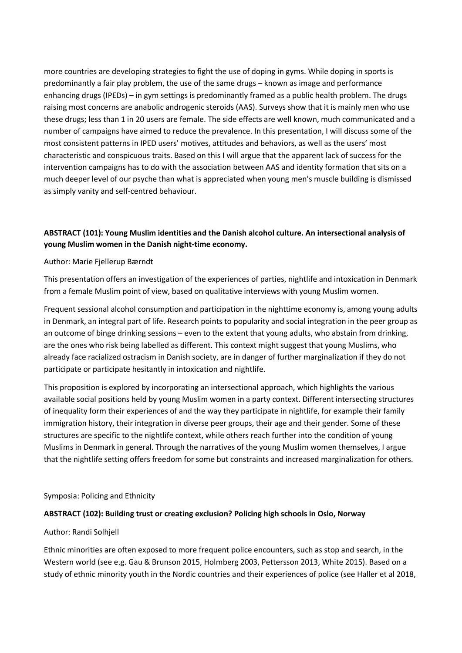more countries are developing strategies to fight the use of doping in gyms. While doping in sports is predominantly a fair play problem, the use of the same drugs – known as image and performance enhancing drugs (IPEDs) – in gym settings is predominantly framed as a public health problem. The drugs raising most concerns are anabolic androgenic steroids (AAS). Surveys show that it is mainly men who use these drugs; less than 1 in 20 users are female. The side effects are well known, much communicated and a number of campaigns have aimed to reduce the prevalence. In this presentation, I will discuss some of the most consistent patterns in IPED users' motives, attitudes and behaviors, as well as the users' most characteristic and conspicuous traits. Based on this I will argue that the apparent lack of success for the intervention campaigns has to do with the association between AAS and identity formation that sits on a much deeper level of our psyche than what is appreciated when young men's muscle building is dismissed as simply vanity and self-centred behaviour.

# **ABSTRACT (101): Young Muslim identities and the Danish alcohol culture. An intersectional analysis of young Muslim women in the Danish night-time economy.**

## Author: Marie Fjellerup Bærndt

This presentation offers an investigation of the experiences of parties, nightlife and intoxication in Denmark from a female Muslim point of view, based on qualitative interviews with young Muslim women.

Frequent sessional alcohol consumption and participation in the nighttime economy is, among young adults in Denmark, an integral part of life. Research points to popularity and social integration in the peer group as an outcome of binge drinking sessions – even to the extent that young adults, who abstain from drinking, are the ones who risk being labelled as different. This context might suggest that young Muslims, who already face racialized ostracism in Danish society, are in danger of further marginalization if they do not participate or participate hesitantly in intoxication and nightlife.

This proposition is explored by incorporating an intersectional approach, which highlights the various available social positions held by young Muslim women in a party context. Different intersecting structures of inequality form their experiences of and the way they participate in nightlife, for example their family immigration history, their integration in diverse peer groups, their age and their gender. Some of these structures are specific to the nightlife context, while others reach further into the condition of young Muslims in Denmark in general. Through the narratives of the young Muslim women themselves, I argue that the nightlife setting offers freedom for some but constraints and increased marginalization for others.

### Symposia: Policing and Ethnicity

### **ABSTRACT (102): Building trust or creating exclusion? Policing high schools in Oslo, Norway**

### Author: Randi Solhjell

Ethnic minorities are often exposed to more frequent police encounters, such as stop and search, in the Western world (see e.g. Gau & Brunson 2015, Holmberg 2003, Pettersson 2013, White 2015). Based on a study of ethnic minority youth in the Nordic countries and their experiences of police (see Haller et al 2018,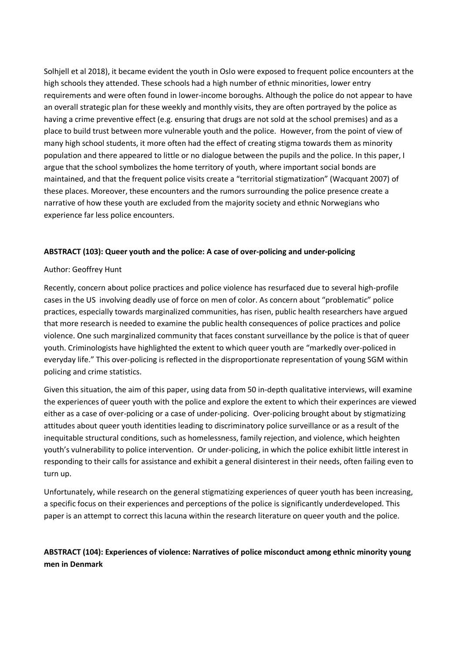Solhjell et al 2018), it became evident the youth in Oslo were exposed to frequent police encounters at the high schools they attended. These schools had a high number of ethnic minorities, lower entry requirements and were often found in lower-income boroughs. Although the police do not appear to have an overall strategic plan for these weekly and monthly visits, they are often portrayed by the police as having a crime preventive effect (e.g. ensuring that drugs are not sold at the school premises) and as a place to build trust between more vulnerable youth and the police. However, from the point of view of many high school students, it more often had the effect of creating stigma towards them as minority population and there appeared to little or no dialogue between the pupils and the police. In this paper, I argue that the school symbolizes the home territory of youth, where important social bonds are maintained, and that the frequent police visits create a "territorial stigmatization" (Wacquant 2007) of these places. Moreover, these encounters and the rumors surrounding the police presence create a narrative of how these youth are excluded from the majority society and ethnic Norwegians who experience far less police encounters.

## **ABSTRACT (103): Queer youth and the police: A case of over-policing and under-policing**

## Author: Geoffrey Hunt

Recently, concern about police practices and police violence has resurfaced due to several high-profile cases in the US involving deadly use of force on men of color. As concern about "problematic" police practices, especially towards marginalized communities, has risen, public health researchers have argued that more research is needed to examine the public health consequences of police practices and police violence. One such marginalized community that faces constant surveillance by the police is that of queer youth. Criminologists have highlighted the extent to which queer youth are "markedly over-policed in everyday life." This over-policing is reflected in the disproportionate representation of young SGM within policing and crime statistics.

Given this situation, the aim of this paper, using data from 50 in-depth qualitative interviews, will examine the experiences of queer youth with the police and explore the extent to which their experinces are viewed either as a case of over-policing or a case of under-policing. Over-policing brought about by stigmatizing attitudes about queer youth identities leading to discriminatory police surveillance or as a result of the inequitable structural conditions, such as homelessness, family rejection, and violence, which heighten youth's vulnerability to police intervention. Or under-policing, in which the police exhibit little interest in responding to their calls for assistance and exhibit a general disinterest in their needs, often failing even to turn up.

Unfortunately, while research on the general stigmatizing experiences of queer youth has been increasing, a specific focus on their experiences and perceptions of the police is significantly underdeveloped. This paper is an attempt to correct this lacuna within the research literature on queer youth and the police.

# **ABSTRACT (104): Experiences of violence: Narratives of police misconduct among ethnic minority young men in Denmark**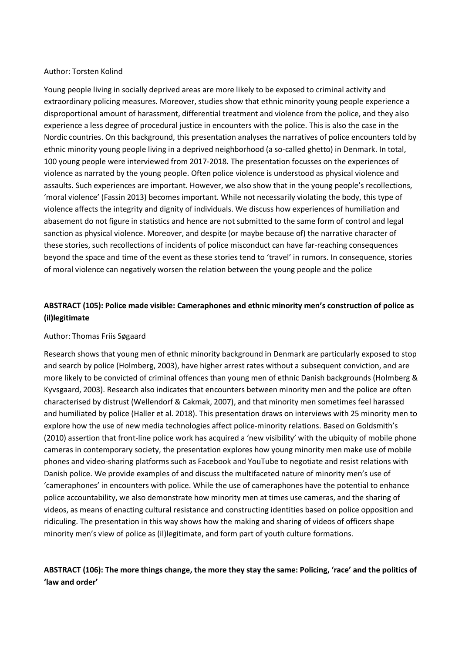### Author: Torsten Kolind

Young people living in socially deprived areas are more likely to be exposed to criminal activity and extraordinary policing measures. Moreover, studies show that ethnic minority young people experience a disproportional amount of harassment, differential treatment and violence from the police, and they also experience a less degree of procedural justice in encounters with the police. This is also the case in the Nordic countries. On this background, this presentation analyses the narratives of police encounters told by ethnic minority young people living in a deprived neighborhood (a so-called ghetto) in Denmark. In total, 100 young people were interviewed from 2017-2018. The presentation focusses on the experiences of violence as narrated by the young people. Often police violence is understood as physical violence and assaults. Such experiences are important. However, we also show that in the young people's recollections, 'moral violence' (Fassin 2013) becomes important. While not necessarily violating the body, this type of violence affects the integrity and dignity of individuals. We discuss how experiences of humiliation and abasement do not figure in statistics and hence are not submitted to the same form of control and legal sanction as physical violence. Moreover, and despite (or maybe because of) the narrative character of these stories, such recollections of incidents of police misconduct can have far-reaching consequences beyond the space and time of the event as these stories tend to 'travel' in rumors. In consequence, stories of moral violence can negatively worsen the relation between the young people and the police

# **ABSTRACT (105): Police made visible: Cameraphones and ethnic minority men's construction of police as (il)legitimate**

### Author: Thomas Friis Søgaard

Research shows that young men of ethnic minority background in Denmark are particularly exposed to stop and search by police (Holmberg, 2003), have higher arrest rates without a subsequent conviction, and are more likely to be convicted of criminal offences than young men of ethnic Danish backgrounds (Holmberg & Kyvsgaard, 2003). Research also indicates that encounters between minority men and the police are often characterised by distrust (Wellendorf & Cakmak, 2007), and that minority men sometimes feel harassed and humiliated by police (Haller et al. 2018). This presentation draws on interviews with 25 minority men to explore how the use of new media technologies affect police-minority relations. Based on Goldsmith's (2010) assertion that front-line police work has acquired a 'new visibility' with the ubiquity of mobile phone cameras in contemporary society, the presentation explores how young minority men make use of mobile phones and video-sharing platforms such as Facebook and YouTube to negotiate and resist relations with Danish police. We provide examples of and discuss the multifaceted nature of minority men's use of 'cameraphones' in encounters with police. While the use of cameraphones have the potential to enhance police accountability, we also demonstrate how minority men at times use cameras, and the sharing of videos, as means of enacting cultural resistance and constructing identities based on police opposition and ridiculing. The presentation in this way shows how the making and sharing of videos of officers shape minority men's view of police as (il)legitimate, and form part of youth culture formations.

## **ABSTRACT (106): The more things change, the more they stay the same: Policing, 'race' and the politics of 'law and order'**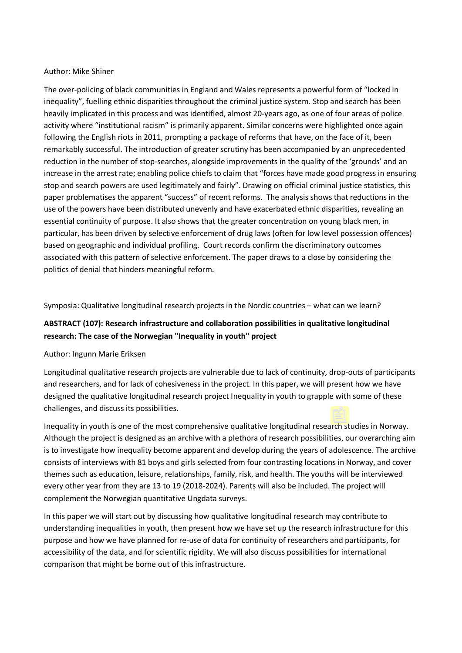#### Author: Mike Shiner

The over-policing of black communities in England and Wales represents a powerful form of "locked in inequality", fuelling ethnic disparities throughout the criminal justice system. Stop and search has been heavily implicated in this process and was identified, almost 20-years ago, as one of four areas of police activity where "institutional racism" is primarily apparent. Similar concerns were highlighted once again following the English riots in 2011, prompting a package of reforms that have, on the face of it, been remarkably successful. The introduction of greater scrutiny has been accompanied by an unprecedented reduction in the number of stop-searches, alongside improvements in the quality of the 'grounds' and an increase in the arrest rate; enabling police chiefs to claim that "forces have made good progress in ensuring stop and search powers are used legitimately and fairly". Drawing on official criminal justice statistics, this paper problematises the apparent "success" of recent reforms. The analysis shows that reductions in the use of the powers have been distributed unevenly and have exacerbated ethnic disparities, revealing an essential continuity of purpose. It also shows that the greater concentration on young black men, in particular, has been driven by selective enforcement of drug laws (often for low level possession offences) based on geographic and individual profiling. Court records confirm the discriminatory outcomes associated with this pattern of selective enforcement. The paper draws to a close by considering the politics of denial that hinders meaningful reform.

Symposia: Qualitative longitudinal research projects in the Nordic countries – what can we learn?

# **ABSTRACT (107): Research infrastructure and collaboration possibilities in qualitative longitudinal research: The case of the Norwegian "Inequality in youth" project**

### Author: Ingunn Marie Eriksen

Longitudinal qualitative research projects are vulnerable due to lack of continuity, drop-outs of participants and researchers, and for lack of cohesiveness in the project. In this paper, we will present how we have designed the qualitative longitudinal research project Inequality in youth to grapple with some of these challenges, and discuss its possibilities.

Inequality in youth is one of the most comprehensive qualitative longitudinal research studies in Norway. Although the project is designed as an archive with a plethora of research possibilities, our overarching aim is to investigate how inequality become apparent and develop during the years of adolescence. The archive consists of interviews with 81 boys and girls selected from four contrasting locations in Norway, and cover themes such as education, leisure, relationships, family, risk, and health. The youths will be interviewed every other year from they are 13 to 19 (2018-2024). Parents will also be included. The project will complement the Norwegian quantitative Ungdata surveys.

In this paper we will start out by discussing how qualitative longitudinal research may contribute to understanding inequalities in youth, then present how we have set up the research infrastructure for this purpose and how we have planned for re-use of data for continuity of researchers and participants, for accessibility of the data, and for scientific rigidity. We will also discuss possibilities for international comparison that might be borne out of this infrastructure.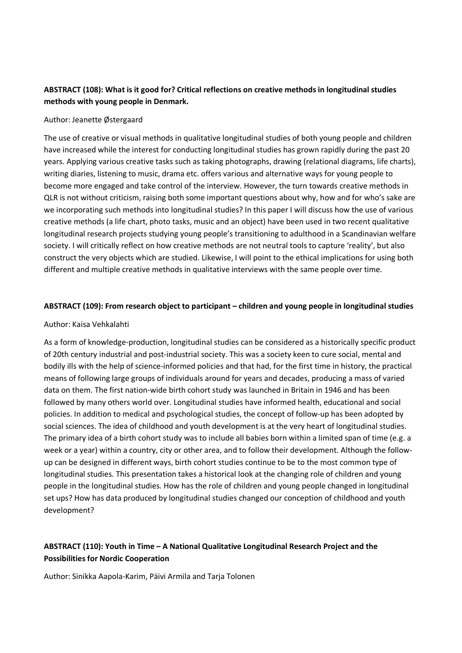# **ABSTRACT (108): What is it good for? Critical reflections on creative methods in longitudinal studies methods with young people in Denmark.**

### Author: Jeanette Østergaard

The use of creative or visual methods in qualitative longitudinal studies of both young people and children have increased while the interest for conducting longitudinal studies has grown rapidly during the past 20 years. Applying various creative tasks such as taking photographs, drawing (relational diagrams, life charts), writing diaries, listening to music, drama etc. offers various and alternative ways for young people to become more engaged and take control of the interview. However, the turn towards creative methods in QLR is not without criticism, raising both some important questions about why, how and for who's sake are we incorporating such methods into longitudinal studies? In this paper I will discuss how the use of various creative methods (a life chart, photo tasks, music and an object) have been used in two recent qualitative longitudinal research projects studying young people's transitioning to adulthood in a Scandinavian welfare society. I will critically reflect on how creative methods are not neutral tools to capture 'reality', but also construct the very objects which are studied. Likewise, I will point to the ethical implications for using both different and multiple creative methods in qualitative interviews with the same people over time.

## **ABSTRACT (109): From research object to participant – children and young people in longitudinal studies**

## Author: Kaisa Vehkalahti

As a form of knowledge-production, longitudinal studies can be considered as a historically specific product of 20th century industrial and post-industrial society. This was a society keen to cure social, mental and bodily ills with the help of science-informed policies and that had, for the first time in history, the practical means of following large groups of individuals around for years and decades, producing a mass of varied data on them. The first nation-wide birth cohort study was launched in Britain in 1946 and has been followed by many others world over. Longitudinal studies have informed health, educational and social policies. In addition to medical and psychological studies, the concept of follow-up has been adopted by social sciences. The idea of childhood and youth development is at the very heart of longitudinal studies. The primary idea of a birth cohort study was to include all babies born within a limited span of time (e.g. a week or a year) within a country, city or other area, and to follow their development. Although the followup can be designed in different ways, birth cohort studies continue to be to the most common type of longitudinal studies. This presentation takes a historical look at the changing role of children and young people in the longitudinal studies. How has the role of children and young people changed in longitudinal set ups? How has data produced by longitudinal studies changed our conception of childhood and youth development?

# **ABSTRACT (110): Youth in Time – A National Qualitative Longitudinal Research Project and the Possibilities for Nordic Cooperation**

Author: Sinikka Aapola-Karim, Päivi Armila and Tarja Tolonen